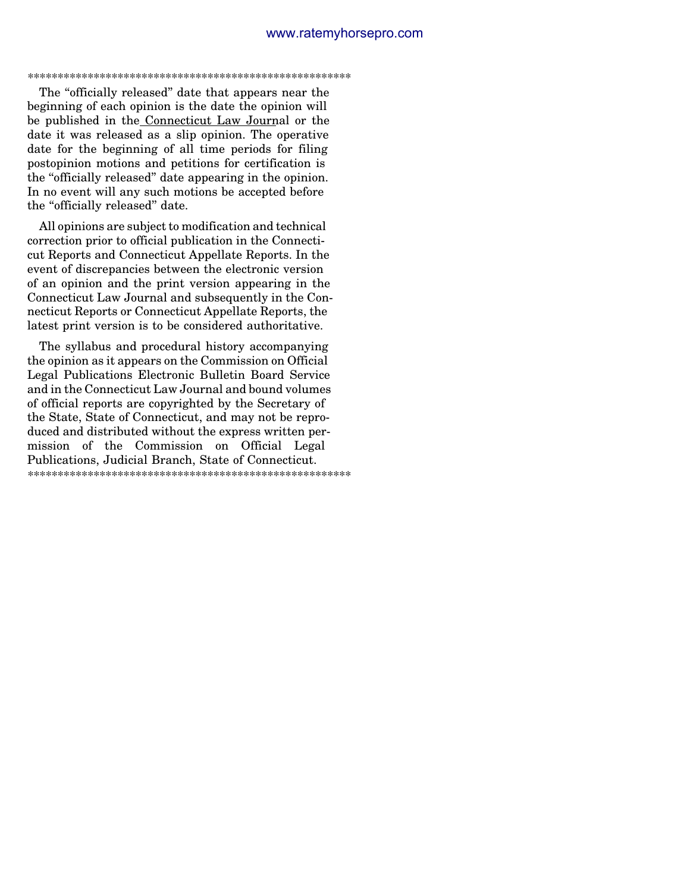\*\*\*\*\*\*\*\*\*\*\*\*\*\*\*\*\*\*\*\*\*\*\*\*\*\*\*\*\*\*\*\*\*\*\*\*\*\*\*\*\*\*\*\*\*\*\*\*\*\*\*\*\*\*

The ''officially released'' date that appears near the beginning of each opinion is the date the opinion will be published in the Connecticut Law Journal or the date it was released as a slip opinion. The operative date for the beginning of all time periods for filing postopinion motions and petitions for certification is the ''officially released'' date appearing in the opinion. In no event will any such motions be accepted before the ''officially released'' date.

All opinions are subject to modification and technical correction prior to official publication in the Connecticut Reports and Connecticut Appellate Reports. In the event of discrepancies between the electronic version of an opinion and the print version appearing in the Connecticut Law Journal and subsequently in the Connecticut Reports or Connecticut Appellate Reports, the latest print version is to be considered authoritative.

The syllabus and procedural history accompanying the opinion as it appears on the Commission on Official Legal Publications Electronic Bulletin Board Service and in the Connecticut Law Journal and bound volumes of official reports are copyrighted by the Secretary of the State, State of Connecticut, and may not be reproduced and distributed without the express written permission of the Commission on Official Legal Publications, Judicial Branch, State of Connecticut. \*\*\*\*\*\*\*\*\*\*\*\*\*\*\*\*\*\*\*\*\*\*\*\*\*\*\*\*\*\*\*\*\*\*\*\*\*\*\*\*\*\*\*\*\*\*\*\*\*\*\*\*\*\*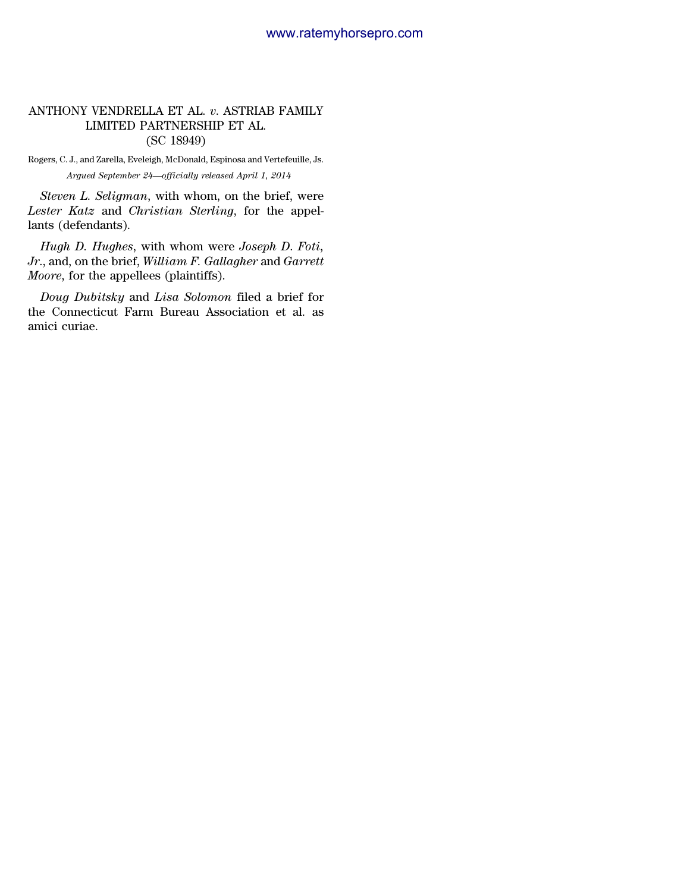# ANTHONY VENDRELLA ET AL. *v*. ASTRIAB FAMILY LIMITED PARTNERSHIP ET AL. (SC 18949)

Rogers, C. J., and Zarella, Eveleigh, McDonald, Espinosa and Vertefeuille, Js. *Argued September 24—officially released April 1, 2014*

*Steven L. Seligman*, with whom, on the brief, were *Lester Katz* and *Christian Sterling*, for the appellants (defendants).

*Hugh D. Hughes*, with whom were *Joseph D*. *Foti, Jr*., and, on the brief, *William F. Gallagher* and *Garrett Moore*, for the appellees (plaintiffs).

*Doug Dubitsky* and *Lisa Solomon* filed a brief for the Connecticut Farm Bureau Association et al. as amici curiae.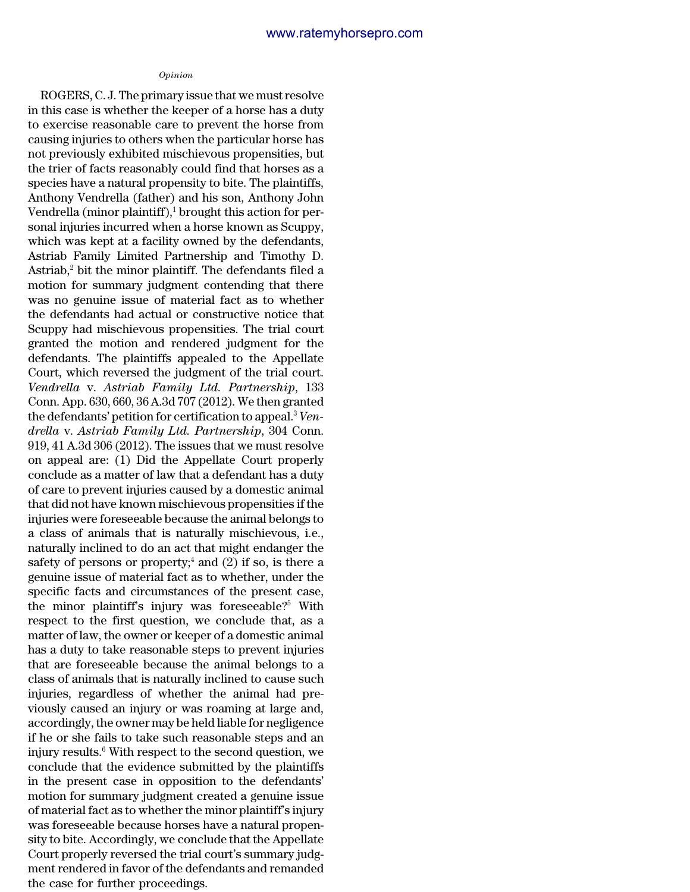#### *Opinion*

ROGERS, C. J. The primary issue that we must resolve in this case is whether the keeper of a horse has a duty to exercise reasonable care to prevent the horse from causing injuries to others when the particular horse has not previously exhibited mischievous propensities, but the trier of facts reasonably could find that horses as a species have a natural propensity to bite. The plaintiffs, Anthony Vendrella (father) and his son, Anthony John Vendrella (minor plaintiff), $\frac{1}{1}$  brought this action for personal injuries incurred when a horse known as Scuppy, which was kept at a facility owned by the defendants, Astriab Family Limited Partnership and Timothy D. Astriab, $^2$  bit the minor plaintiff. The defendants filed a motion for summary judgment contending that there was no genuine issue of material fact as to whether the defendants had actual or constructive notice that Scuppy had mischievous propensities. The trial court granted the motion and rendered judgment for the defendants. The plaintiffs appealed to the Appellate Court, which reversed the judgment of the trial court. *Vendrella* v. *Astriab Family Ltd. Partnership*, 133 Conn. App. 630, 660, 36 A.3d 707 (2012). We then granted the defendants' petition for certification to appeal.<sup>3</sup> *Vendrella* v. *Astriab Family Ltd. Partnership*, 304 Conn. 919, 41 A.3d 306 (2012). The issues that we must resolve on appeal are: (1) Did the Appellate Court properly conclude as a matter of law that a defendant has a duty of care to prevent injuries caused by a domestic animal that did not have known mischievous propensities if the injuries were foreseeable because the animal belongs to a class of animals that is naturally mischievous, i.e., naturally inclined to do an act that might endanger the safety of persons or property;<sup>4</sup> and  $(2)$  if so, is there a genuine issue of material fact as to whether, under the specific facts and circumstances of the present case, the minor plaintiff's injury was foreseeable?<sup>5</sup> With respect to the first question, we conclude that, as a matter of law, the owner or keeper of a domestic animal has a duty to take reasonable steps to prevent injuries that are foreseeable because the animal belongs to a class of animals that is naturally inclined to cause such injuries, regardless of whether the animal had previously caused an injury or was roaming at large and, accordingly, the owner may be held liable for negligence if he or she fails to take such reasonable steps and an injury results.<sup>6</sup> With respect to the second question, we conclude that the evidence submitted by the plaintiffs in the present case in opposition to the defendants' motion for summary judgment created a genuine issue of material fact as to whether the minor plaintiff's injury was foreseeable because horses have a natural propensity to bite. Accordingly, we conclude that the Appellate Court properly reversed the trial court's summary judgment rendered in favor of the defendants and remanded the case for further proceedings.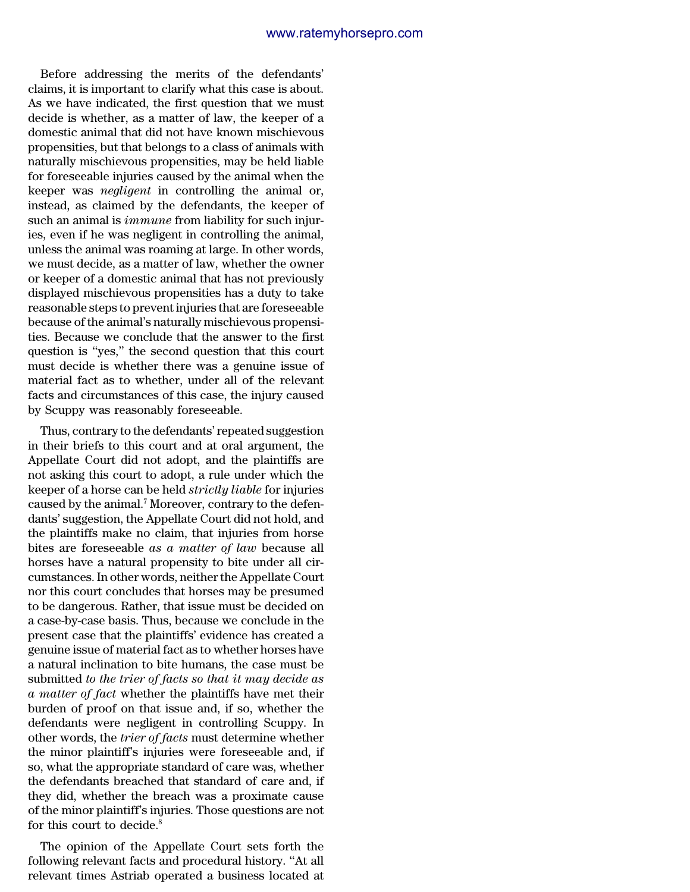Before addressing the merits of the defendants' claims, it is important to clarify what this case is about. As we have indicated, the first question that we must decide is whether, as a matter of law, the keeper of a domestic animal that did not have known mischievous propensities, but that belongs to a class of animals with naturally mischievous propensities, may be held liable for foreseeable injuries caused by the animal when the keeper was *negligent* in controlling the animal or, instead, as claimed by the defendants, the keeper of such an animal is *immune* from liability for such injuries, even if he was negligent in controlling the animal, unless the animal was roaming at large. In other words, we must decide, as a matter of law, whether the owner or keeper of a domestic animal that has not previously displayed mischievous propensities has a duty to take reasonable steps to prevent injuries that are foreseeable because of the animal's naturally mischievous propensities. Because we conclude that the answer to the first question is ''yes,'' the second question that this court must decide is whether there was a genuine issue of material fact as to whether, under all of the relevant facts and circumstances of this case, the injury caused by Scuppy was reasonably foreseeable.

Thus, contrary to the defendants' repeated suggestion in their briefs to this court and at oral argument, the Appellate Court did not adopt, and the plaintiffs are not asking this court to adopt, a rule under which the keeper of a horse can be held *strictly liable* for injuries caused by the animal.<sup>7</sup> Moreover, contrary to the defendants' suggestion, the Appellate Court did not hold, and the plaintiffs make no claim, that injuries from horse bites are foreseeable *as a matter of law* because all horses have a natural propensity to bite under all circumstances. In other words, neither the Appellate Court nor this court concludes that horses may be presumed to be dangerous. Rather, that issue must be decided on a case-by-case basis. Thus, because we conclude in the present case that the plaintiffs' evidence has created a genuine issue of material fact as to whether horses have a natural inclination to bite humans, the case must be submitted *to the trier of facts so that it may decide as a matter of fact* whether the plaintiffs have met their burden of proof on that issue and, if so, whether the defendants were negligent in controlling Scuppy. In other words, the *trier of facts* must determine whether the minor plaintiff's injuries were foreseeable and, if so, what the appropriate standard of care was, whether the defendants breached that standard of care and, if they did, whether the breach was a proximate cause of the minor plaintiff's injuries. Those questions are not for this court to decide.<sup>8</sup>

The opinion of the Appellate Court sets forth the following relevant facts and procedural history. ''At all relevant times Astriab operated a business located at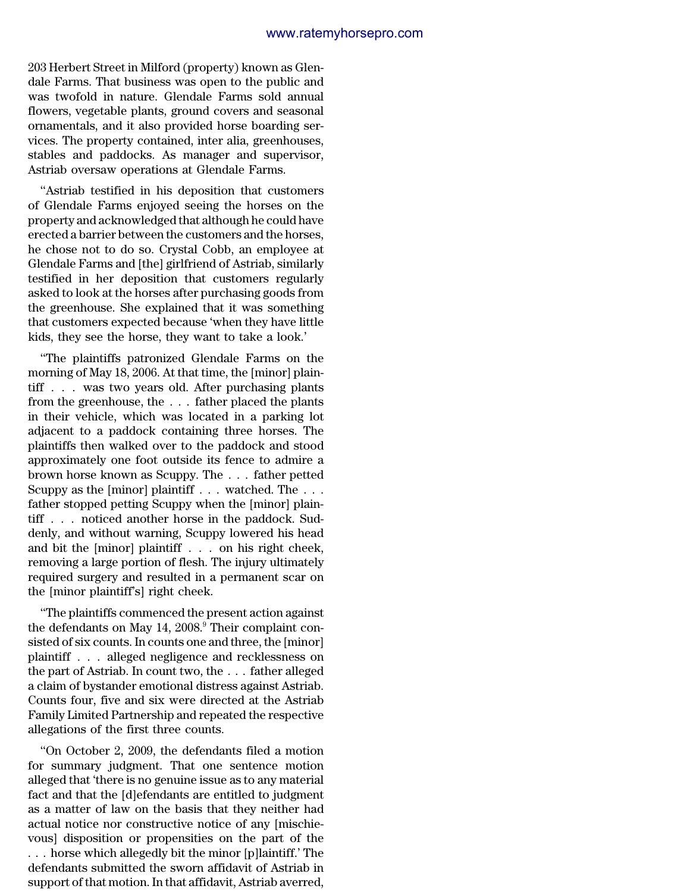203 Herbert Street in Milford (property) known as Glendale Farms. That business was open to the public and was twofold in nature. Glendale Farms sold annual flowers, vegetable plants, ground covers and seasonal ornamentals, and it also provided horse boarding services. The property contained, inter alia, greenhouses, stables and paddocks. As manager and supervisor, Astriab oversaw operations at Glendale Farms.

''Astriab testified in his deposition that customers of Glendale Farms enjoyed seeing the horses on the property and acknowledged that although he could have erected a barrier between the customers and the horses, he chose not to do so. Crystal Cobb, an employee at Glendale Farms and [the] girlfriend of Astriab, similarly testified in her deposition that customers regularly asked to look at the horses after purchasing goods from the greenhouse. She explained that it was something that customers expected because 'when they have little kids, they see the horse, they want to take a look.'

''The plaintiffs patronized Glendale Farms on the morning of May 18, 2006. At that time, the [minor] plaintiff . . . was two years old. After purchasing plants from the greenhouse, the . . . father placed the plants in their vehicle, which was located in a parking lot adjacent to a paddock containing three horses. The plaintiffs then walked over to the paddock and stood approximately one foot outside its fence to admire a brown horse known as Scuppy. The . . . father petted Scuppy as the [minor] plaintiff . . . watched. The . . . father stopped petting Scuppy when the [minor] plaintiff . . . noticed another horse in the paddock. Suddenly, and without warning, Scuppy lowered his head and bit the [minor] plaintiff . . . on his right cheek, removing a large portion of flesh. The injury ultimately required surgery and resulted in a permanent scar on the [minor plaintiff's] right cheek.

''The plaintiffs commenced the present action against the defendants on May  $14, 2008$ .<sup>9</sup> Their complaint consisted of six counts. In counts one and three, the [minor] plaintiff . . . alleged negligence and recklessness on the part of Astriab. In count two, the . . . father alleged a claim of bystander emotional distress against Astriab. Counts four, five and six were directed at the Astriab Family Limited Partnership and repeated the respective allegations of the first three counts.

''On October 2, 2009, the defendants filed a motion for summary judgment. That one sentence motion alleged that 'there is no genuine issue as to any material fact and that the [d]efendants are entitled to judgment as a matter of law on the basis that they neither had actual notice nor constructive notice of any [mischievous] disposition or propensities on the part of the . . . horse which allegedly bit the minor [p]laintiff.' The defendants submitted the sworn affidavit of Astriab in support of that motion. In that affidavit, Astriab averred,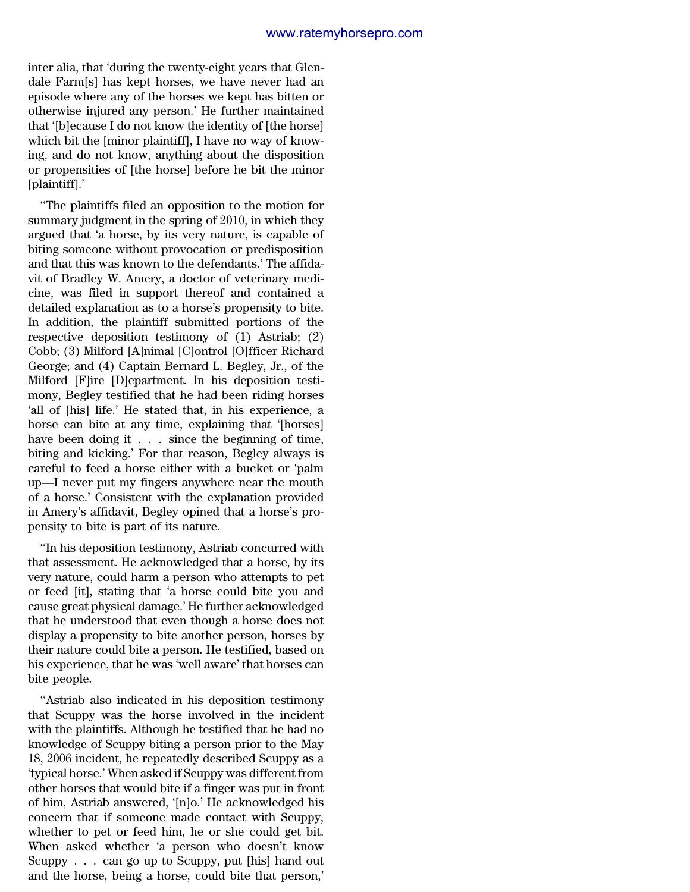inter alia, that 'during the twenty-eight years that Glendale Farm[s] has kept horses, we have never had an episode where any of the horses we kept has bitten or otherwise injured any person.' He further maintained that '[b]ecause I do not know the identity of [the horse] which bit the [minor plaintiff], I have no way of knowing, and do not know, anything about the disposition or propensities of [the horse] before he bit the minor [plaintiff].'

''The plaintiffs filed an opposition to the motion for summary judgment in the spring of 2010, in which they argued that 'a horse, by its very nature, is capable of biting someone without provocation or predisposition and that this was known to the defendants.' The affidavit of Bradley W. Amery, a doctor of veterinary medicine, was filed in support thereof and contained a detailed explanation as to a horse's propensity to bite. In addition, the plaintiff submitted portions of the respective deposition testimony of (1) Astriab; (2) Cobb; (3) Milford [A]nimal [C]ontrol [O]fficer Richard George; and (4) Captain Bernard L. Begley, Jr., of the Milford [F]ire [D]epartment. In his deposition testimony, Begley testified that he had been riding horses 'all of [his] life.' He stated that, in his experience, a horse can bite at any time, explaining that '[horses] have been doing it . . . since the beginning of time, biting and kicking.' For that reason, Begley always is careful to feed a horse either with a bucket or 'palm up—I never put my fingers anywhere near the mouth of a horse.' Consistent with the explanation provided in Amery's affidavit, Begley opined that a horse's propensity to bite is part of its nature.

''In his deposition testimony, Astriab concurred with that assessment. He acknowledged that a horse, by its very nature, could harm a person who attempts to pet or feed [it], stating that 'a horse could bite you and cause great physical damage.' He further acknowledged that he understood that even though a horse does not display a propensity to bite another person, horses by their nature could bite a person. He testified, based on his experience, that he was 'well aware' that horses can bite people.

''Astriab also indicated in his deposition testimony that Scuppy was the horse involved in the incident with the plaintiffs. Although he testified that he had no knowledge of Scuppy biting a person prior to the May 18, 2006 incident, he repeatedly described Scuppy as a 'typical horse.' When asked if Scuppy was different from other horses that would bite if a finger was put in front of him, Astriab answered, '[n]o.' He acknowledged his concern that if someone made contact with Scuppy, whether to pet or feed him, he or she could get bit. When asked whether 'a person who doesn't know Scuppy . . . can go up to Scuppy, put [his] hand out and the horse, being a horse, could bite that person,'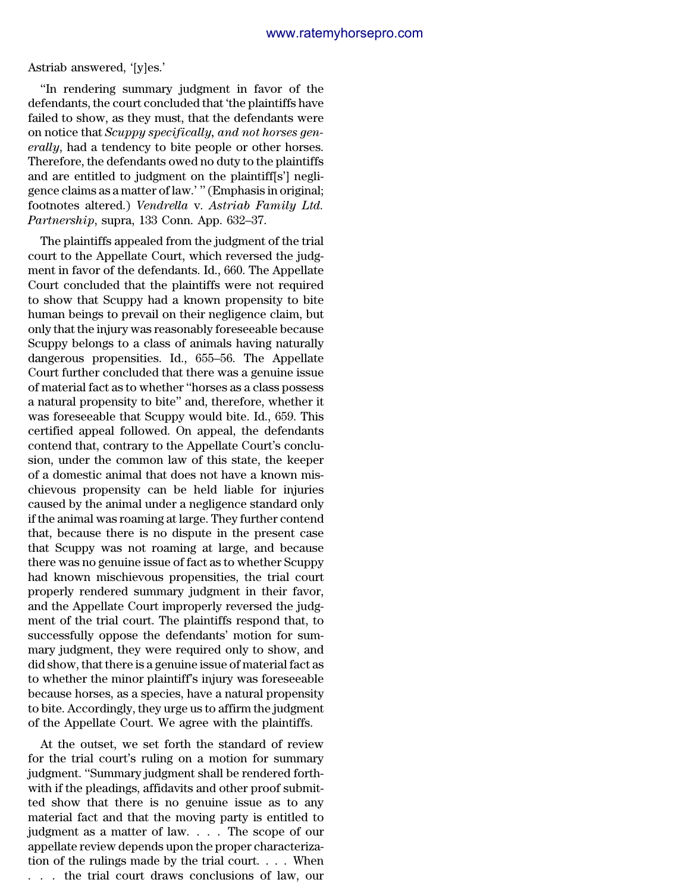Astriab answered, '[y]es.'

''In rendering summary judgment in favor of the defendants, the court concluded that 'the plaintiffs have failed to show, as they must, that the defendants were on notice that *Scuppy specifically, and not horses generally*, had a tendency to bite people or other horses. Therefore, the defendants owed no duty to the plaintiffs and are entitled to judgment on the plaintiff[s'] negligence claims as a matter of law.' '' (Emphasis in original; footnotes altered.) *Vendrella* v. *Astriab Family Ltd. Partnership*, supra, 133 Conn. App. 632–37.

The plaintiffs appealed from the judgment of the trial court to the Appellate Court, which reversed the judgment in favor of the defendants. Id., 660. The Appellate Court concluded that the plaintiffs were not required to show that Scuppy had a known propensity to bite human beings to prevail on their negligence claim, but only that the injury was reasonably foreseeable because Scuppy belongs to a class of animals having naturally dangerous propensities. Id., 655–56. The Appellate Court further concluded that there was a genuine issue of material fact as to whether ''horses as a class possess a natural propensity to bite'' and, therefore, whether it was foreseeable that Scuppy would bite. Id., 659. This certified appeal followed. On appeal, the defendants contend that, contrary to the Appellate Court's conclusion, under the common law of this state, the keeper of a domestic animal that does not have a known mischievous propensity can be held liable for injuries caused by the animal under a negligence standard only if the animal was roaming at large. They further contend that, because there is no dispute in the present case that Scuppy was not roaming at large, and because there was no genuine issue of fact as to whether Scuppy had known mischievous propensities, the trial court properly rendered summary judgment in their favor, and the Appellate Court improperly reversed the judgment of the trial court. The plaintiffs respond that, to successfully oppose the defendants' motion for summary judgment, they were required only to show, and did show, that there is a genuine issue of material fact as to whether the minor plaintiff's injury was foreseeable because horses, as a species, have a natural propensity to bite. Accordingly, they urge us to affirm the judgment of the Appellate Court. We agree with the plaintiffs.

At the outset, we set forth the standard of review for the trial court's ruling on a motion for summary judgment. ''Summary judgment shall be rendered forthwith if the pleadings, affidavits and other proof submitted show that there is no genuine issue as to any material fact and that the moving party is entitled to judgment as a matter of law. . . . The scope of our appellate review depends upon the proper characterization of the rulings made by the trial court. . . . When . . . the trial court draws conclusions of law, our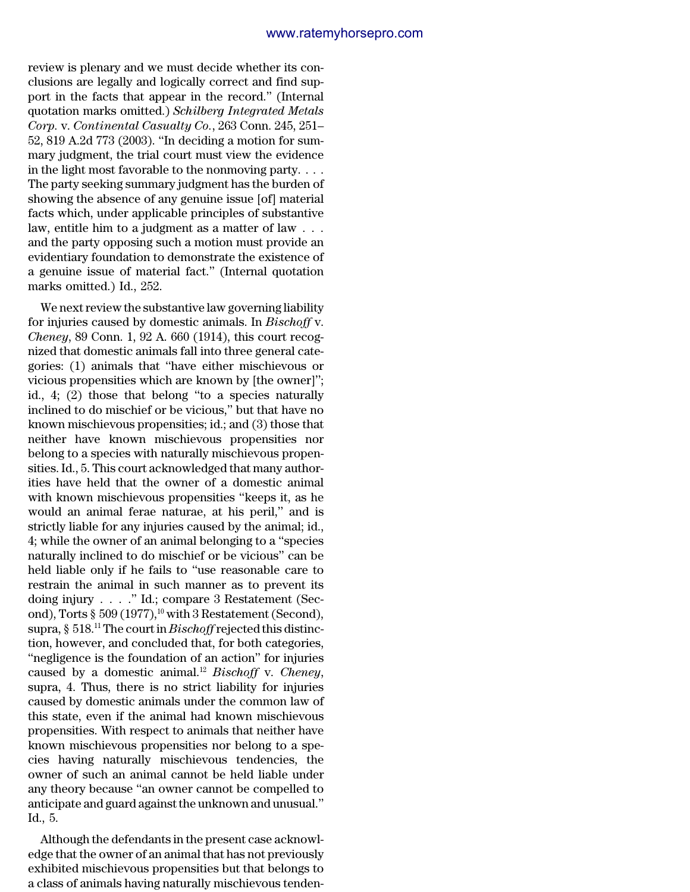review is plenary and we must decide whether its conclusions are legally and logically correct and find support in the facts that appear in the record.'' (Internal quotation marks omitted.) *Schilberg Integrated Metals Corp.* v. *Continental Casualty Co.*, 263 Conn. 245, 251– 52, 819 A.2d 773 (2003). ''In deciding a motion for summary judgment, the trial court must view the evidence in the light most favorable to the nonmoving party. . . . The party seeking summary judgment has the burden of showing the absence of any genuine issue [of] material facts which, under applicable principles of substantive law, entitle him to a judgment as a matter of law . . . and the party opposing such a motion must provide an evidentiary foundation to demonstrate the existence of a genuine issue of material fact.'' (Internal quotation marks omitted.) Id., 252.

We next review the substantive law governing liability for injuries caused by domestic animals. In *Bischoff* v. *Cheney*, 89 Conn. 1, 92 A. 660 (1914), this court recognized that domestic animals fall into three general categories: (1) animals that ''have either mischievous or vicious propensities which are known by [the owner]''; id., 4; (2) those that belong ''to a species naturally inclined to do mischief or be vicious,'' but that have no known mischievous propensities; id.; and (3) those that neither have known mischievous propensities nor belong to a species with naturally mischievous propensities. Id., 5. This court acknowledged that many authorities have held that the owner of a domestic animal with known mischievous propensities ''keeps it, as he would an animal ferae naturae, at his peril,'' and is strictly liable for any injuries caused by the animal; id., 4; while the owner of an animal belonging to a ''species naturally inclined to do mischief or be vicious'' can be held liable only if he fails to ''use reasonable care to restrain the animal in such manner as to prevent its doing injury . . . .'' Id.; compare 3 Restatement (Second), Torts §  $509$  (1977),<sup>10</sup> with 3 Restatement (Second), supra, § 518.<sup>11</sup> The court in *Bischoff*rejected this distinction, however, and concluded that, for both categories, ''negligence is the foundation of an action'' for injuries caused by a domestic animal.<sup>12</sup> *Bischoff* v. *Cheney*, supra, 4. Thus, there is no strict liability for injuries caused by domestic animals under the common law of this state, even if the animal had known mischievous propensities. With respect to animals that neither have known mischievous propensities nor belong to a species having naturally mischievous tendencies, the owner of such an animal cannot be held liable under any theory because ''an owner cannot be compelled to anticipate and guard against the unknown and unusual.'' Id., 5.

Although the defendants in the present case acknowledge that the owner of an animal that has not previously exhibited mischievous propensities but that belongs to a class of animals having naturally mischievous tenden-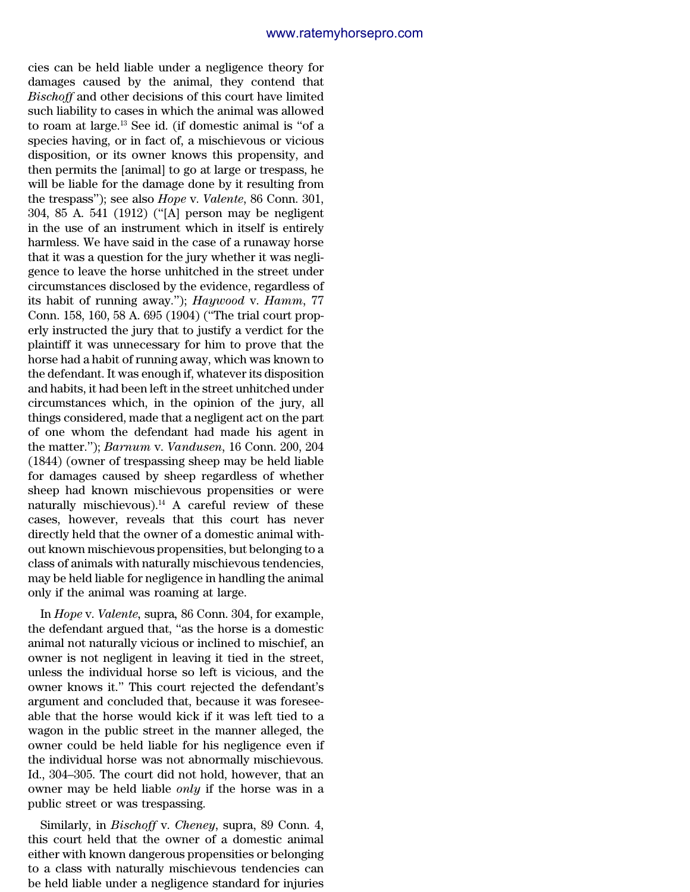cies can be held liable under a negligence theory for damages caused by the animal, they contend that *Bischoff* and other decisions of this court have limited such liability to cases in which the animal was allowed to roam at large.<sup>13</sup> See id. (if domestic animal is ''of a species having, or in fact of, a mischievous or vicious disposition, or its owner knows this propensity, and then permits the [animal] to go at large or trespass, he will be liable for the damage done by it resulting from the trespass''); see also *Hope* v. *Valente*, 86 Conn. 301, 304, 85 A. 541 (1912) (''[A] person may be negligent in the use of an instrument which in itself is entirely harmless. We have said in the case of a runaway horse that it was a question for the jury whether it was negligence to leave the horse unhitched in the street under circumstances disclosed by the evidence, regardless of its habit of running away.''); *Haywood* v. *Hamm*, 77 Conn. 158, 160, 58 A. 695 (1904) (''The trial court properly instructed the jury that to justify a verdict for the plaintiff it was unnecessary for him to prove that the horse had a habit of running away, which was known to the defendant. It was enough if, whatever its disposition and habits, it had been left in the street unhitched under circumstances which, in the opinion of the jury, all things considered, made that a negligent act on the part of one whom the defendant had made his agent in the matter.''); *Barnum* v. *Vandusen*, 16 Conn. 200, 204 (1844) (owner of trespassing sheep may be held liable for damages caused by sheep regardless of whether sheep had known mischievous propensities or were naturally mischievous).<sup>14</sup> A careful review of these cases, however, reveals that this court has never directly held that the owner of a domestic animal without known mischievous propensities, but belonging to a class of animals with naturally mischievous tendencies, may be held liable for negligence in handling the animal only if the animal was roaming at large.

In *Hope* v. *Valente,* supra*,* 86 Conn. 304, for example, the defendant argued that, ''as the horse is a domestic animal not naturally vicious or inclined to mischief, an owner is not negligent in leaving it tied in the street, unless the individual horse so left is vicious, and the owner knows it.'' This court rejected the defendant's argument and concluded that, because it was foreseeable that the horse would kick if it was left tied to a wagon in the public street in the manner alleged, the owner could be held liable for his negligence even if the individual horse was not abnormally mischievous. Id., 304–305. The court did not hold, however, that an owner may be held liable *only* if the horse was in a public street or was trespassing.

Similarly, in *Bischoff* v. *Cheney*, supra, 89 Conn. 4, this court held that the owner of a domestic animal either with known dangerous propensities or belonging to a class with naturally mischievous tendencies can be held liable under a negligence standard for injuries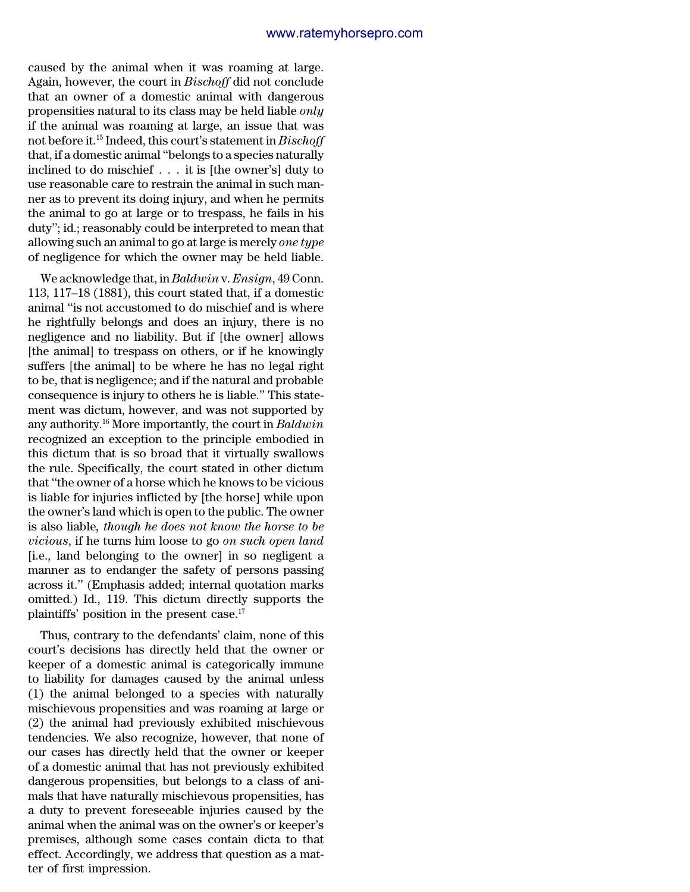caused by the animal when it was roaming at large. Again, however, the court in *Bischoff* did not conclude that an owner of a domestic animal with dangerous propensities natural to its class may be held liable *only* if the animal was roaming at large, an issue that was not before it.<sup>15</sup> Indeed, this court's statement in *Bischoff* that, if a domestic animal ''belongs to a species naturally inclined to do mischief . . . it is [the owner's] duty to use reasonable care to restrain the animal in such manner as to prevent its doing injury, and when he permits the animal to go at large or to trespass, he fails in his duty''; id.; reasonably could be interpreted to mean that allowing such an animal to go at large is merely *one type* of negligence for which the owner may be held liable.

We acknowledge that, in *Baldwin* v. *Ensign*, 49 Conn. 113, 117–18 (1881), this court stated that, if a domestic animal ''is not accustomed to do mischief and is where he rightfully belongs and does an injury, there is no negligence and no liability. But if [the owner] allows [the animal] to trespass on others, or if he knowingly suffers [the animal] to be where he has no legal right to be, that is negligence; and if the natural and probable consequence is injury to others he is liable.'' This statement was dictum, however, and was not supported by any authority.<sup>16</sup> More importantly, the court in *Baldwin* recognized an exception to the principle embodied in this dictum that is so broad that it virtually swallows the rule. Specifically, the court stated in other dictum that ''the owner of a horse which he knows to be vicious is liable for injuries inflicted by [the horse] while upon the owner's land which is open to the public. The owner is also liable*, though he does not know the horse to be vicious*, if he turns him loose to go *on such open land* [i.e., land belonging to the owner] in so negligent a manner as to endanger the safety of persons passing across it.'' (Emphasis added; internal quotation marks omitted.) Id., 119. This dictum directly supports the plaintiffs' position in the present case.<sup>17</sup>

Thus, contrary to the defendants' claim, none of this court's decisions has directly held that the owner or keeper of a domestic animal is categorically immune to liability for damages caused by the animal unless (1) the animal belonged to a species with naturally mischievous propensities and was roaming at large or (2) the animal had previously exhibited mischievous tendencies. We also recognize, however, that none of our cases has directly held that the owner or keeper of a domestic animal that has not previously exhibited dangerous propensities, but belongs to a class of animals that have naturally mischievous propensities, has a duty to prevent foreseeable injuries caused by the animal when the animal was on the owner's or keeper's premises, although some cases contain dicta to that effect. Accordingly, we address that question as a matter of first impression.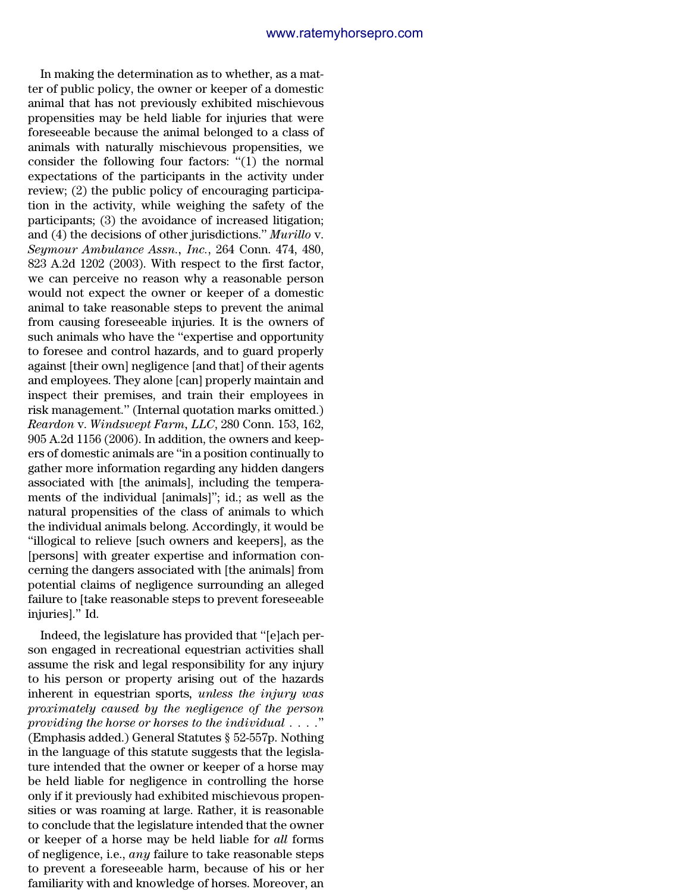In making the determination as to whether, as a matter of public policy, the owner or keeper of a domestic animal that has not previously exhibited mischievous propensities may be held liable for injuries that were foreseeable because the animal belonged to a class of animals with naturally mischievous propensities, we consider the following four factors: ''(1) the normal expectations of the participants in the activity under review; (2) the public policy of encouraging participation in the activity, while weighing the safety of the participants; (3) the avoidance of increased litigation; and (4) the decisions of other jurisdictions.'' *Murillo* v. *Seymour Ambulance Assn., Inc.*, 264 Conn. 474, 480, 823 A.2d 1202 (2003). With respect to the first factor, we can perceive no reason why a reasonable person would not expect the owner or keeper of a domestic animal to take reasonable steps to prevent the animal from causing foreseeable injuries. It is the owners of such animals who have the ''expertise and opportunity to foresee and control hazards, and to guard properly against [their own] negligence [and that] of their agents and employees. They alone [can] properly maintain and inspect their premises, and train their employees in risk management.'' (Internal quotation marks omitted.) *Reardon* v. *Windswept Farm, LLC*, 280 Conn. 153, 162, 905 A.2d 1156 (2006). In addition, the owners and keepers of domestic animals are ''in a position continually to gather more information regarding any hidden dangers associated with [the animals], including the temperaments of the individual [animals]''; id.; as well as the natural propensities of the class of animals to which the individual animals belong. Accordingly, it would be ''illogical to relieve [such owners and keepers], as the [persons] with greater expertise and information concerning the dangers associated with [the animals] from potential claims of negligence surrounding an alleged failure to [take reasonable steps to prevent foreseeable injuries].'' Id.

Indeed, the legislature has provided that ''[e]ach person engaged in recreational equestrian activities shall assume the risk and legal responsibility for any injury to his person or property arising out of the hazards inherent in equestrian sports*, unless the injury was proximately caused by the negligence of the person providing the horse or horses to the individual . . . .*'' (Emphasis added.) General Statutes § 52-557p. Nothing in the language of this statute suggests that the legislature intended that the owner or keeper of a horse may be held liable for negligence in controlling the horse only if it previously had exhibited mischievous propensities or was roaming at large. Rather, it is reasonable to conclude that the legislature intended that the owner or keeper of a horse may be held liable for *all* forms of negligence, i.e., *any* failure to take reasonable steps to prevent a foreseeable harm, because of his or her familiarity with and knowledge of horses. Moreover, an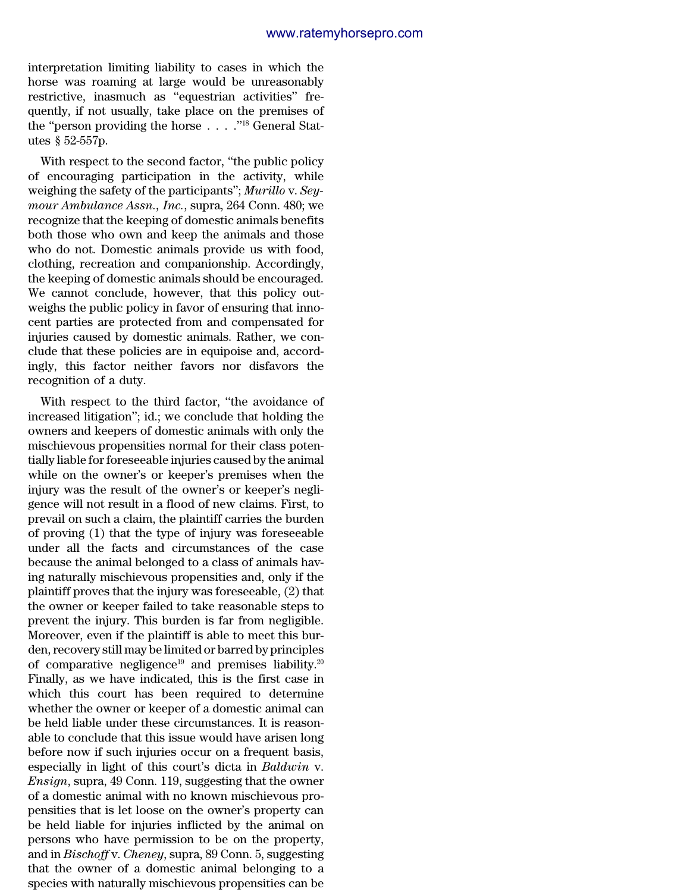interpretation limiting liability to cases in which the horse was roaming at large would be unreasonably restrictive, inasmuch as ''equestrian activities'' frequently, if not usually, take place on the premises of the "person providing the horse . . . . "<sup>18</sup> General Statutes § 52-557p.

With respect to the second factor, "the public policy" of encouraging participation in the activity, while weighing the safety of the participants''; *Murillo* v. *Seymour Ambulance Assn., Inc.*, supra, 264 Conn. 480; we recognize that the keeping of domestic animals benefits both those who own and keep the animals and those who do not. Domestic animals provide us with food, clothing, recreation and companionship. Accordingly, the keeping of domestic animals should be encouraged. We cannot conclude, however, that this policy outweighs the public policy in favor of ensuring that innocent parties are protected from and compensated for injuries caused by domestic animals. Rather, we conclude that these policies are in equipoise and, accordingly, this factor neither favors nor disfavors the recognition of a duty.

With respect to the third factor, ''the avoidance of increased litigation''; id.; we conclude that holding the owners and keepers of domestic animals with only the mischievous propensities normal for their class potentially liable for foreseeable injuries caused by the animal while on the owner's or keeper's premises when the injury was the result of the owner's or keeper's negligence will not result in a flood of new claims. First, to prevail on such a claim, the plaintiff carries the burden of proving (1) that the type of injury was foreseeable under all the facts and circumstances of the case because the animal belonged to a class of animals having naturally mischievous propensities and, only if the plaintiff proves that the injury was foreseeable, (2) that the owner or keeper failed to take reasonable steps to prevent the injury. This burden is far from negligible. Moreover, even if the plaintiff is able to meet this burden, recovery still may be limited or barred by principles of comparative negligence<sup>19</sup> and premises liability.<sup>20</sup> Finally, as we have indicated, this is the first case in which this court has been required to determine whether the owner or keeper of a domestic animal can be held liable under these circumstances. It is reasonable to conclude that this issue would have arisen long before now if such injuries occur on a frequent basis, especially in light of this court's dicta in *Baldwin* v. *Ensign*, supra, 49 Conn. 119, suggesting that the owner of a domestic animal with no known mischievous propensities that is let loose on the owner's property can be held liable for injuries inflicted by the animal on persons who have permission to be on the property, and in *Bischoff* v. *Cheney*, supra, 89 Conn. 5, suggesting that the owner of a domestic animal belonging to a species with naturally mischievous propensities can be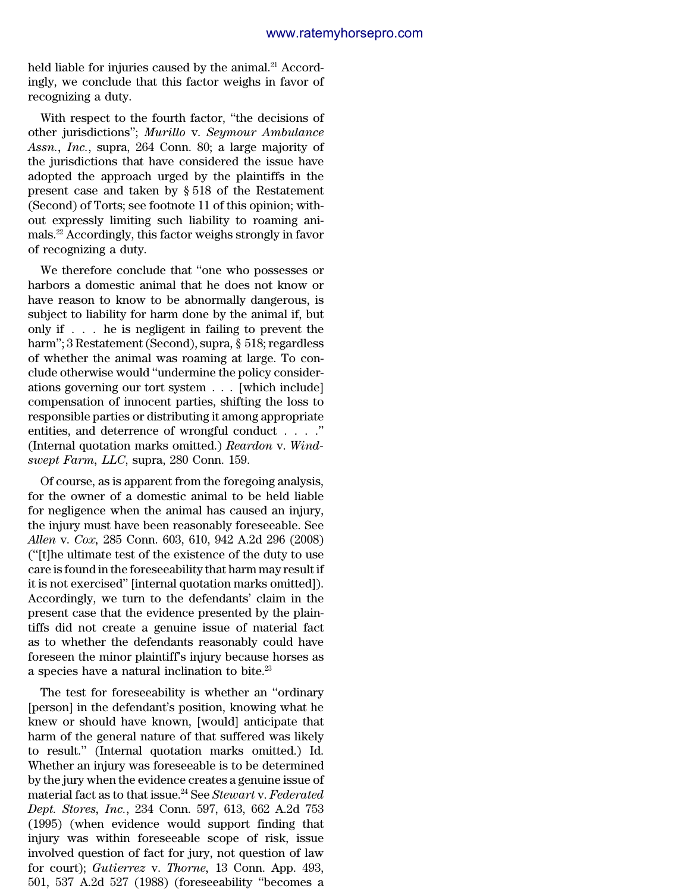held liable for injuries caused by the animal.<sup>21</sup> Accordingly, we conclude that this factor weighs in favor of recognizing a duty.

With respect to the fourth factor, ''the decisions of other jurisdictions''; *Murillo* v. *Seymour Ambulance Assn., Inc.*, supra, 264 Conn. 80; a large majority of the jurisdictions that have considered the issue have adopted the approach urged by the plaintiffs in the present case and taken by § 518 of the Restatement (Second) of Torts; see footnote 11 of this opinion; without expressly limiting such liability to roaming animals.<sup>22</sup> Accordingly, this factor weighs strongly in favor of recognizing a duty.

We therefore conclude that ''one who possesses or harbors a domestic animal that he does not know or have reason to know to be abnormally dangerous, is subject to liability for harm done by the animal if, but only if . . . he is negligent in failing to prevent the harm''; 3 Restatement (Second), supra, § 518; regardless of whether the animal was roaming at large. To conclude otherwise would ''undermine the policy considerations governing our tort system . . . [which include] compensation of innocent parties, shifting the loss to responsible parties or distributing it among appropriate entities, and deterrence of wrongful conduct . . . .'' (Internal quotation marks omitted.) *Reardon* v. *Windswept Farm, LLC*, supra, 280 Conn. 159.

Of course, as is apparent from the foregoing analysis, for the owner of a domestic animal to be held liable for negligence when the animal has caused an injury, the injury must have been reasonably foreseeable. See *Allen* v. *Cox,* 285 Conn. 603, 610, 942 A.2d 296 (2008) (''[t]he ultimate test of the existence of the duty to use care is found in the foreseeability that harm may result if it is not exercised'' [internal quotation marks omitted]). Accordingly, we turn to the defendants' claim in the present case that the evidence presented by the plaintiffs did not create a genuine issue of material fact as to whether the defendants reasonably could have foreseen the minor plaintiff's injury because horses as a species have a natural inclination to bite.<sup>23</sup>

The test for foreseeability is whether an ''ordinary [person] in the defendant's position, knowing what he knew or should have known, [would] anticipate that harm of the general nature of that suffered was likely to result.'' (Internal quotation marks omitted.) Id. Whether an injury was foreseeable is to be determined by the jury when the evidence creates a genuine issue of material fact as to that issue.<sup>24</sup> See *Stewart* v. *Federated Dept. Stores, Inc.*, 234 Conn. 597, 613, 662 A.2d 753 (1995) (when evidence would support finding that injury was within foreseeable scope of risk, issue involved question of fact for jury, not question of law for court); *Gutierrez* v. *Thorne,* 13 Conn. App. 493, 501, 537 A.2d 527 (1988) (foreseeability ''becomes a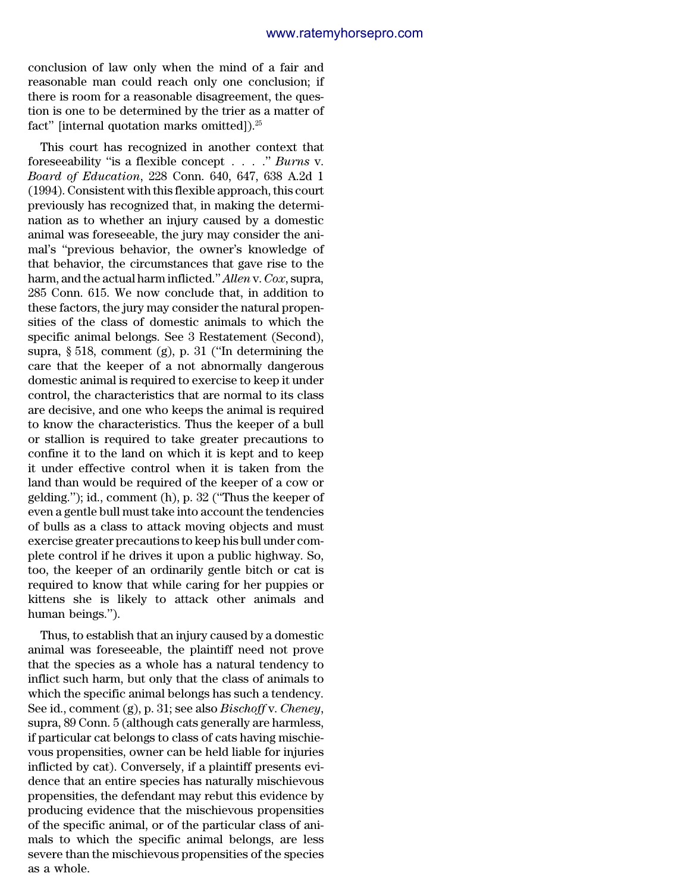conclusion of law only when the mind of a fair and reasonable man could reach only one conclusion; if there is room for a reasonable disagreement, the question is one to be determined by the trier as a matter of fact" [internal quotation marks omitted]).<sup>25</sup>

This court has recognized in another context that foreseeability ''is a flexible concept . . . .'' *Burns* v. *Board of Education*, 228 Conn. 640, 647, 638 A.2d 1 (1994). Consistent with this flexible approach, this court previously has recognized that, in making the determination as to whether an injury caused by a domestic animal was foreseeable, the jury may consider the animal's ''previous behavior, the owner's knowledge of that behavior, the circumstances that gave rise to the harm, and the actual harm inflicted.''*Allen* v. *Cox*, supra, 285 Conn. 615. We now conclude that, in addition to these factors, the jury may consider the natural propensities of the class of domestic animals to which the specific animal belongs. See 3 Restatement (Second), supra, § 518, comment (g), p. 31 (''In determining the care that the keeper of a not abnormally dangerous domestic animal is required to exercise to keep it under control, the characteristics that are normal to its class are decisive, and one who keeps the animal is required to know the characteristics. Thus the keeper of a bull or stallion is required to take greater precautions to confine it to the land on which it is kept and to keep it under effective control when it is taken from the land than would be required of the keeper of a cow or gelding.''); id., comment (h), p. 32 (''Thus the keeper of even a gentle bull must take into account the tendencies of bulls as a class to attack moving objects and must exercise greater precautions to keep his bull under complete control if he drives it upon a public highway. So, too, the keeper of an ordinarily gentle bitch or cat is required to know that while caring for her puppies or kittens she is likely to attack other animals and human beings.'').

Thus, to establish that an injury caused by a domestic animal was foreseeable, the plaintiff need not prove that the species as a whole has a natural tendency to inflict such harm, but only that the class of animals to which the specific animal belongs has such a tendency. See id., comment (g), p. 31; see also *Bischoff* v. *Cheney*, supra, 89 Conn. 5 (although cats generally are harmless, if particular cat belongs to class of cats having mischievous propensities, owner can be held liable for injuries inflicted by cat). Conversely, if a plaintiff presents evidence that an entire species has naturally mischievous propensities, the defendant may rebut this evidence by producing evidence that the mischievous propensities of the specific animal, or of the particular class of animals to which the specific animal belongs, are less severe than the mischievous propensities of the species as a whole.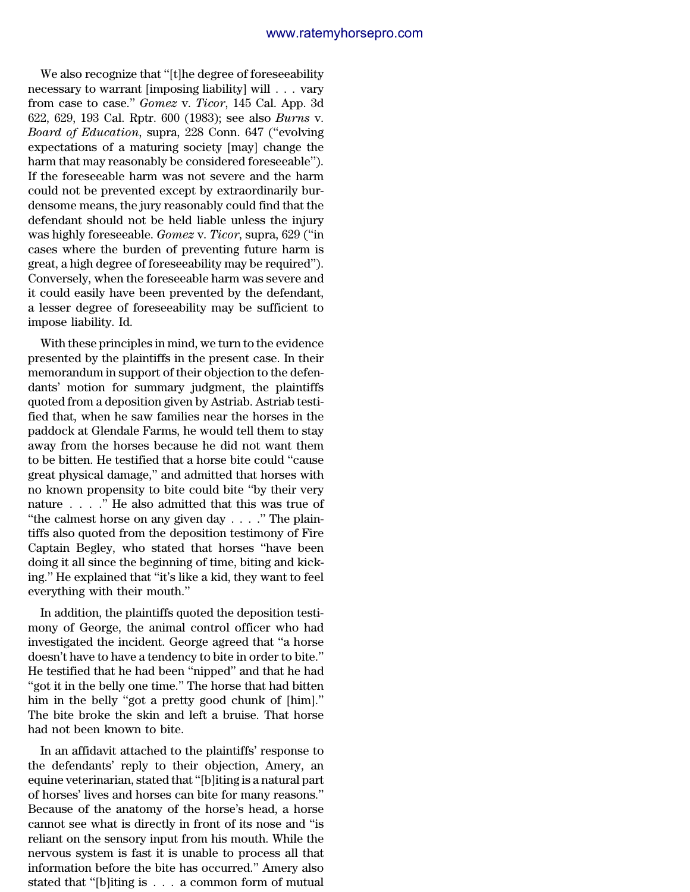We also recognize that ''[t]he degree of foreseeability necessary to warrant [imposing liability] will . . . vary from case to case.'' *Gomez* v. *Ticor*, 145 Cal. App. 3d 622, 629, 193 Cal. Rptr. 600 (1983); see also *Burns* v. *Board of Education*, supra, 228 Conn. 647 (''evolving expectations of a maturing society [may] change the harm that may reasonably be considered foreseeable''). If the foreseeable harm was not severe and the harm could not be prevented except by extraordinarily burdensome means, the jury reasonably could find that the defendant should not be held liable unless the injury was highly foreseeable. *Gomez* v. *Ticor*, supra, 629 (''in cases where the burden of preventing future harm is great, a high degree of foreseeability may be required''). Conversely, when the foreseeable harm was severe and it could easily have been prevented by the defendant, a lesser degree of foreseeability may be sufficient to impose liability. Id.

With these principles in mind, we turn to the evidence presented by the plaintiffs in the present case. In their memorandum in support of their objection to the defendants' motion for summary judgment, the plaintiffs quoted from a deposition given by Astriab. Astriab testified that, when he saw families near the horses in the paddock at Glendale Farms, he would tell them to stay away from the horses because he did not want them to be bitten. He testified that a horse bite could ''cause great physical damage,'' and admitted that horses with no known propensity to bite could bite ''by their very nature . . . .'' He also admitted that this was true of ''the calmest horse on any given day . . . .'' The plaintiffs also quoted from the deposition testimony of Fire Captain Begley, who stated that horses ''have been doing it all since the beginning of time, biting and kicking.'' He explained that ''it's like a kid, they want to feel everything with their mouth.''

In addition, the plaintiffs quoted the deposition testimony of George, the animal control officer who had investigated the incident. George agreed that ''a horse doesn't have to have a tendency to bite in order to bite.'' He testified that he had been ''nipped'' and that he had ''got it in the belly one time.'' The horse that had bitten him in the belly "got a pretty good chunk of [him]." The bite broke the skin and left a bruise. That horse had not been known to bite.

In an affidavit attached to the plaintiffs' response to the defendants' reply to their objection, Amery, an equine veterinarian, stated that ''[b]iting is a natural part of horses' lives and horses can bite for many reasons.'' Because of the anatomy of the horse's head, a horse cannot see what is directly in front of its nose and ''is reliant on the sensory input from his mouth. While the nervous system is fast it is unable to process all that information before the bite has occurred.'' Amery also stated that ''[b]iting is . . . a common form of mutual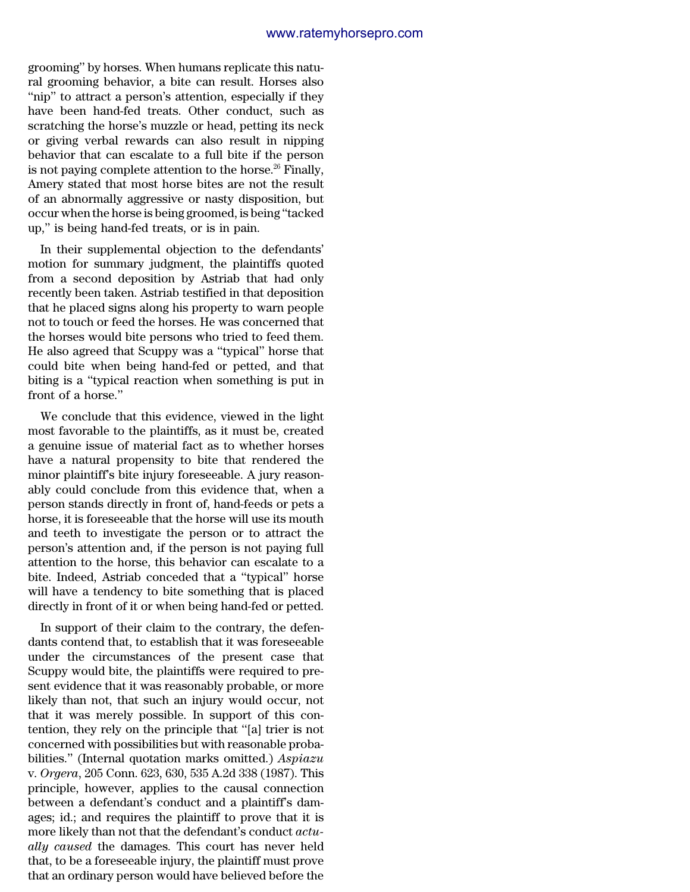grooming'' by horses. When humans replicate this natural grooming behavior, a bite can result. Horses also "nip" to attract a person's attention, especially if they have been hand-fed treats. Other conduct, such as scratching the horse's muzzle or head, petting its neck or giving verbal rewards can also result in nipping behavior that can escalate to a full bite if the person is not paying complete attention to the horse.<sup>26</sup> Finally, Amery stated that most horse bites are not the result of an abnormally aggressive or nasty disposition, but occur when the horse is being groomed, is being ''tacked up,'' is being hand-fed treats, or is in pain.

In their supplemental objection to the defendants' motion for summary judgment, the plaintiffs quoted from a second deposition by Astriab that had only recently been taken. Astriab testified in that deposition that he placed signs along his property to warn people not to touch or feed the horses. He was concerned that the horses would bite persons who tried to feed them. He also agreed that Scuppy was a ''typical'' horse that could bite when being hand-fed or petted, and that biting is a ''typical reaction when something is put in front of a horse.''

We conclude that this evidence, viewed in the light most favorable to the plaintiffs, as it must be, created a genuine issue of material fact as to whether horses have a natural propensity to bite that rendered the minor plaintiff's bite injury foreseeable. A jury reasonably could conclude from this evidence that, when a person stands directly in front of, hand-feeds or pets a horse, it is foreseeable that the horse will use its mouth and teeth to investigate the person or to attract the person's attention and, if the person is not paying full attention to the horse, this behavior can escalate to a bite. Indeed, Astriab conceded that a ''typical'' horse will have a tendency to bite something that is placed directly in front of it or when being hand-fed or petted.

In support of their claim to the contrary, the defendants contend that, to establish that it was foreseeable under the circumstances of the present case that Scuppy would bite, the plaintiffs were required to present evidence that it was reasonably probable, or more likely than not, that such an injury would occur, not that it was merely possible. In support of this contention, they rely on the principle that ''[a] trier is not concerned with possibilities but with reasonable probabilities.'' (Internal quotation marks omitted.) *Aspiazu* v. *Orgera*, 205 Conn. 623, 630, 535 A.2d 338 (1987). This principle, however, applies to the causal connection between a defendant's conduct and a plaintiff's damages; id.; and requires the plaintiff to prove that it is more likely than not that the defendant's conduct *actually caused* the damages. This court has never held that, to be a foreseeable injury, the plaintiff must prove that an ordinary person would have believed before the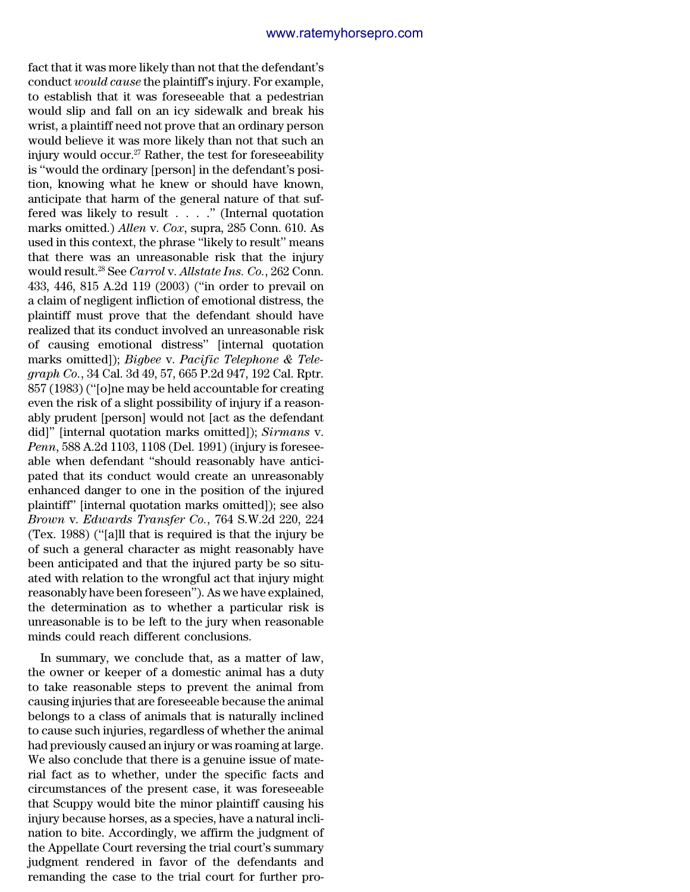fact that it was more likely than not that the defendant's conduct *would cause* the plaintiff's injury. For example, to establish that it was foreseeable that a pedestrian would slip and fall on an icy sidewalk and break his wrist, a plaintiff need not prove that an ordinary person would believe it was more likely than not that such an injury would occur. $27$  Rather, the test for foreseeability is ''would the ordinary [person] in the defendant's position, knowing what he knew or should have known, anticipate that harm of the general nature of that suffered was likely to result . . . .'' (Internal quotation marks omitted.) *Allen* v. *Cox*, supra, 285 Conn. 610. As used in this context, the phrase ''likely to result'' means that there was an unreasonable risk that the injury would result.<sup>28</sup> See *Carrol* v. *Allstate Ins. Co.*, 262 Conn. 433, 446, 815 A.2d 119 (2003) (''in order to prevail on a claim of negligent infliction of emotional distress, the plaintiff must prove that the defendant should have realized that its conduct involved an unreasonable risk of causing emotional distress'' [internal quotation marks omitted]); *Bigbee* v. *Pacific Telephone & Telegraph Co.*, 34 Cal. 3d 49, 57, 665 P.2d 947, 192 Cal. Rptr. 857 (1983) (''[o]ne may be held accountable for creating even the risk of a slight possibility of injury if a reasonably prudent [person] would not [act as the defendant did]'' [internal quotation marks omitted]); *Sirmans* v. *Penn*, 588 A.2d 1103, 1108 (Del. 1991) (injury is foreseeable when defendant ''should reasonably have anticipated that its conduct would create an unreasonably enhanced danger to one in the position of the injured plaintiff'' [internal quotation marks omitted]); see also *Brown* v. *Edwards Transfer Co.*, 764 S.W.2d 220, 224 (Tex. 1988) (''[a]ll that is required is that the injury be of such a general character as might reasonably have been anticipated and that the injured party be so situated with relation to the wrongful act that injury might reasonably have been foreseen''). As we have explained, the determination as to whether a particular risk is unreasonable is to be left to the jury when reasonable minds could reach different conclusions.

In summary, we conclude that, as a matter of law, the owner or keeper of a domestic animal has a duty to take reasonable steps to prevent the animal from causing injuries that are foreseeable because the animal belongs to a class of animals that is naturally inclined to cause such injuries, regardless of whether the animal had previously caused an injury or was roaming at large. We also conclude that there is a genuine issue of material fact as to whether, under the specific facts and circumstances of the present case, it was foreseeable that Scuppy would bite the minor plaintiff causing his injury because horses, as a species, have a natural inclination to bite. Accordingly, we affirm the judgment of the Appellate Court reversing the trial court's summary judgment rendered in favor of the defendants and remanding the case to the trial court for further pro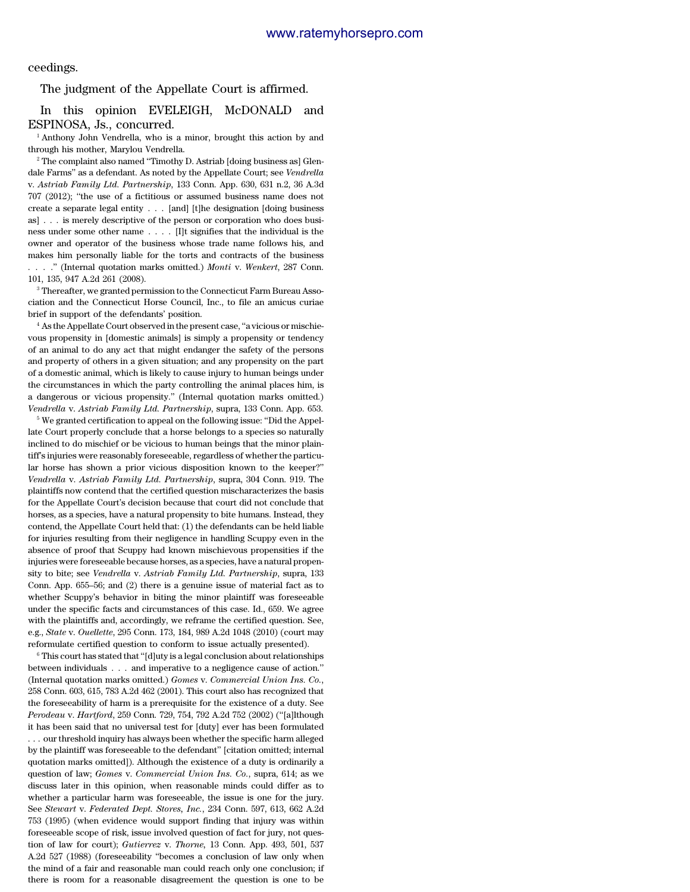ceedings.

#### The judgment of the Appellate Court is affirmed.

In this opinion EVELEIGH, McDONALD and ESPINOSA, Js., concurred.

<sup>1</sup> Anthony John Vendrella, who is a minor, brought this action by and through his mother, Marylou Vendrella.

<sup>2</sup> The complaint also named "Timothy D. Astriab [doing business as] Glendale Farms'' as a defendant. As noted by the Appellate Court; see *Vendrella* v. *Astriab Family Ltd. Partnership*, 133 Conn. App. 630, 631 n.2, 36 A.3d 707 (2012); ''the use of a fictitious or assumed business name does not create a separate legal entity . . . [and] [t]he designation [doing business as] . . . is merely descriptive of the person or corporation who does business under some other name . . . . [I]t signifies that the individual is the owner and operator of the business whose trade name follows his, and makes him personally liable for the torts and contracts of the business . . . .'' (Internal quotation marks omitted.) *Monti* v. *Wenkert*, 287 Conn. 101, 135, 947 A.2d 261 (2008).

<sup>3</sup> Thereafter, we granted permission to the Connecticut Farm Bureau Association and the Connecticut Horse Council, Inc., to file an amicus curiae brief in support of the defendants' position.

<sup>4</sup> As the Appellate Court observed in the present case, ''a vicious or mischievous propensity in [domestic animals] is simply a propensity or tendency of an animal to do any act that might endanger the safety of the persons and property of others in a given situation; and any propensity on the part of a domestic animal, which is likely to cause injury to human beings under the circumstances in which the party controlling the animal places him, is a dangerous or vicious propensity.'' (Internal quotation marks omitted.) *Vendrella* v. *Astriab Family Ltd. Partnership*, supra, 133 Conn. App. 653.

<sup>5</sup> We granted certification to appeal on the following issue: "Did the Appellate Court properly conclude that a horse belongs to a species so naturally inclined to do mischief or be vicious to human beings that the minor plaintiff's injuries were reasonably foreseeable, regardless of whether the particular horse has shown a prior vicious disposition known to the keeper?'' *Vendrella* v. *Astriab Family Ltd. Partnership*, supra, 304 Conn. 919. The plaintiffs now contend that the certified question mischaracterizes the basis for the Appellate Court's decision because that court did not conclude that horses, as a species, have a natural propensity to bite humans. Instead, they contend, the Appellate Court held that: (1) the defendants can be held liable for injuries resulting from their negligence in handling Scuppy even in the absence of proof that Scuppy had known mischievous propensities if the injuries were foreseeable because horses, as a species, have a natural propensity to bite; see *Vendrella* v. *Astriab Family Ltd. Partnership*, supra, 133 Conn. App. 655–56; and (2) there is a genuine issue of material fact as to whether Scuppy's behavior in biting the minor plaintiff was foreseeable under the specific facts and circumstances of this case. Id., 659. We agree with the plaintiffs and, accordingly, we reframe the certified question. See, e.g., *State* v. *Ouellette*, 295 Conn. 173, 184, 989 A.2d 1048 (2010) (court may reformulate certified question to conform to issue actually presented).

 $6$  This court has stated that "[d]uty is a legal conclusion about relationships between individuals . . . and imperative to a negligence cause of action.'' (Internal quotation marks omitted.) *Gomes* v. *Commercial Union Ins. Co.*, 258 Conn. 603, 615, 783 A.2d 462 (2001). This court also has recognized that the foreseeability of harm is a prerequisite for the existence of a duty. See *Perodeau* v. *Hartford*, 259 Conn. 729, 754, 792 A.2d 752 (2002) (''[a]lthough it has been said that no universal test for [duty] ever has been formulated . . . our threshold inquiry has always been whether the specific harm alleged by the plaintiff was foreseeable to the defendant'' [citation omitted; internal quotation marks omitted]). Although the existence of a duty is ordinarily a question of law; *Gomes* v. *Commercial Union Ins. Co.*, supra, 614; as we discuss later in this opinion, when reasonable minds could differ as to whether a particular harm was foreseeable, the issue is one for the jury. See *Stewart* v. *Federated Dept. Stores, Inc.*, 234 Conn. 597, 613, 662 A.2d 753 (1995) (when evidence would support finding that injury was within foreseeable scope of risk, issue involved question of fact for jury, not question of law for court); *Gutierrez* v. *Thorne,* 13 Conn. App. 493, 501, 537 A.2d 527 (1988) (foreseeability ''becomes a conclusion of law only when the mind of a fair and reasonable man could reach only one conclusion; if there is room for a reasonable disagreement the question is one to be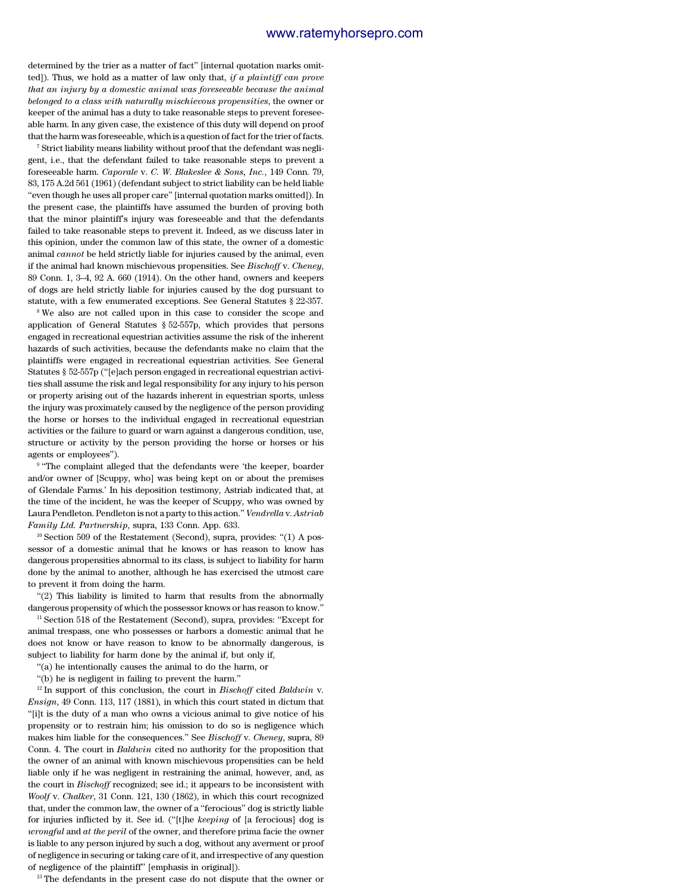determined by the trier as a matter of fact'' [internal quotation marks omitted]). Thus, we hold as a matter of law only that, *if a plaintiff can prove that an injury by a domestic animal was foreseeable because the animal belonged to a class with naturally mischievous propensities*, the owner or keeper of the animal has a duty to take reasonable steps to prevent foreseeable harm. In any given case, the existence of this duty will depend on proof that the harm was foreseeable, which is a question of fact for the trier of facts.

 $^7$  Strict liability means liability without proof that the defendant was negligent, i.e., that the defendant failed to take reasonable steps to prevent a foreseeable harm. *Caporale* v. *C. W. Blakeslee & Sons, Inc.*, 149 Conn. 79, 83, 175 A.2d 561 (1961) (defendant subject to strict liability can be held liable ''even though he uses all proper care'' [internal quotation marks omitted]). In the present case, the plaintiffs have assumed the burden of proving both that the minor plaintiff's injury was foreseeable and that the defendants failed to take reasonable steps to prevent it. Indeed, as we discuss later in this opinion, under the common law of this state, the owner of a domestic animal *cannot* be held strictly liable for injuries caused by the animal, even if the animal had known mischievous propensities. See *Bischoff* v. *Cheney*, 89 Conn. 1, 3–4, 92 A. 660 (1914). On the other hand, owners and keepers of dogs are held strictly liable for injuries caused by the dog pursuant to statute, with a few enumerated exceptions. See General Statutes § 22-357.

<sup>8</sup>We also are not called upon in this case to consider the scope and application of General Statutes § 52-557p, which provides that persons engaged in recreational equestrian activities assume the risk of the inherent hazards of such activities, because the defendants make no claim that the plaintiffs were engaged in recreational equestrian activities. See General Statutes § 52-557p (''[e]ach person engaged in recreational equestrian activities shall assume the risk and legal responsibility for any injury to his person or property arising out of the hazards inherent in equestrian sports, unless the injury was proximately caused by the negligence of the person providing the horse or horses to the individual engaged in recreational equestrian activities or the failure to guard or warn against a dangerous condition, use, structure or activity by the person providing the horse or horses or his agents or employees'').

<sup>9</sup> "The complaint alleged that the defendants were 'the keeper, boarder and/or owner of [Scuppy, who] was being kept on or about the premises of Glendale Farms.' In his deposition testimony, Astriab indicated that, at the time of the incident, he was the keeper of Scuppy, who was owned by Laura Pendleton. Pendleton is not a party to this action.'' *Vendrella* v. *Astriab Family Ltd. Partnership*, supra, 133 Conn. App. 633.

 $10$  Section 509 of the Restatement (Second), supra, provides: "(1) A possessor of a domestic animal that he knows or has reason to know has dangerous propensities abnormal to its class, is subject to liability for harm done by the animal to another, although he has exercised the utmost care to prevent it from doing the harm.

''(2) This liability is limited to harm that results from the abnormally dangerous propensity of which the possessor knows or has reason to know.''

<sup>11</sup> Section 518 of the Restatement (Second), supra, provides: ''Except for animal trespass, one who possesses or harbors a domestic animal that he does not know or have reason to know to be abnormally dangerous, is subject to liability for harm done by the animal if, but only if,

''(a) he intentionally causes the animal to do the harm, or

''(b) he is negligent in failing to prevent the harm.''

<sup>12</sup> In support of this conclusion, the court in *Bischoff* cited *Baldwin* v. *Ensign*, 49 Conn. 113, 117 (1881)*,* in which this court stated in dictum that ''[i]t is the duty of a man who owns a vicious animal to give notice of his propensity or to restrain him; his omission to do so is negligence which makes him liable for the consequences.'' See *Bischoff* v. *Cheney*, supra, 89 Conn. 4. The court in *Baldwin* cited no authority for the proposition that the owner of an animal with known mischievous propensities can be held liable only if he was negligent in restraining the animal, however, and, as the court in *Bischoff* recognized; see id.; it appears to be inconsistent with *Woolf* v. *Chalker*, 31 Conn. 121, 130 (1862), in which this court recognized that, under the common law, the owner of a ''ferocious'' dog is strictly liable for injuries inflicted by it. See id. (''[t]he *keeping* of [a ferocious] dog is *wrongful* and *at the peril* of the owner, and therefore prima facie the owner is liable to any person injured by such a dog, without any averment or proof of negligence in securing or taking care of it, and irrespective of any question of negligence of the plaintiff'' [emphasis in original]).

<sup>13</sup> The defendants in the present case do not dispute that the owner or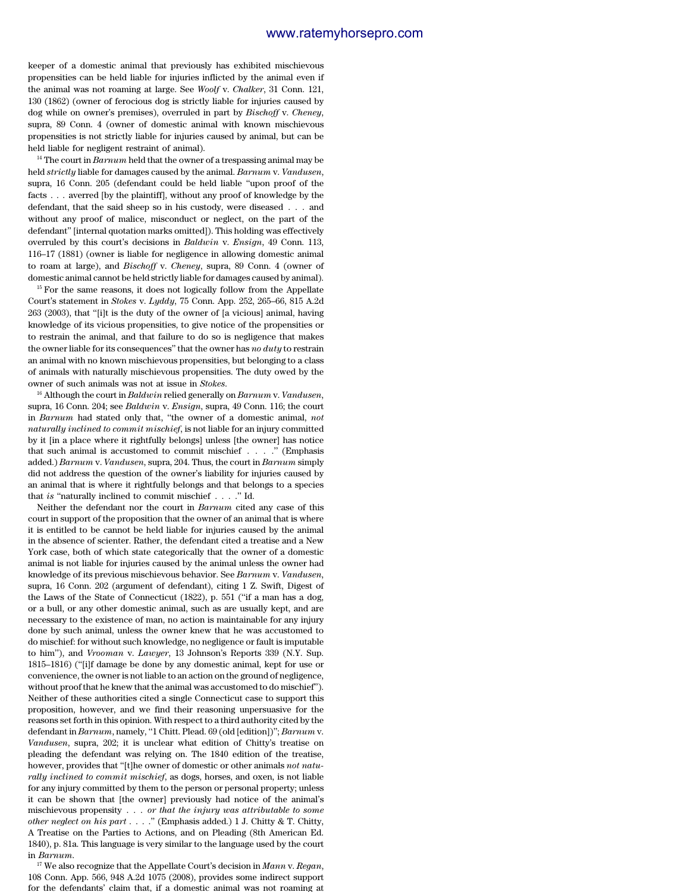keeper of a domestic animal that previously has exhibited mischievous propensities can be held liable for injuries inflicted by the animal even if the animal was not roaming at large. See *Woolf* v. *Chalker*, 31 Conn. 121, 130 (1862) (owner of ferocious dog is strictly liable for injuries caused by dog while on owner's premises), overruled in part by *Bischoff* v. *Cheney*, supra, 89 Conn. 4 (owner of domestic animal with known mischievous propensities is not strictly liable for injuries caused by animal, but can be held liable for negligent restraint of animal).

<sup>14</sup> The court in *Barnum* held that the owner of a trespassing animal may be held *strictly* liable for damages caused by the animal. *Barnum* v. *Vandusen*, supra, 16 Conn. 205 (defendant could be held liable ''upon proof of the facts . . . averred [by the plaintiff], without any proof of knowledge by the defendant, that the said sheep so in his custody, were diseased . . . and without any proof of malice, misconduct or neglect, on the part of the defendant'' [internal quotation marks omitted]). This holding was effectively overruled by this court's decisions in *Baldwin* v. *Ensign*, 49 Conn. 113, 116–17 (1881) (owner is liable for negligence in allowing domestic animal to roam at large), and *Bischoff* v. *Cheney*, supra, 89 Conn. 4 (owner of domestic animal cannot be held strictly liable for damages caused by animal).

<sup>15</sup> For the same reasons, it does not logically follow from the Appellate Court's statement in *Stokes* v. *Lyddy*, 75 Conn. App. 252, 265–66, 815 A.2d 263 (2003), that ''[i]t is the duty of the owner of [a vicious] animal, having knowledge of its vicious propensities, to give notice of the propensities or to restrain the animal, and that failure to do so is negligence that makes the owner liable for its consequences'' that the owner has *no duty* to restrain an animal with no known mischievous propensities, but belonging to a class of animals with naturally mischievous propensities. The duty owed by the owner of such animals was not at issue in *Stokes*.

<sup>16</sup> Although the court in *Baldwin* relied generally on *Barnum* v. *Vandusen*, supra, 16 Conn. 204; see *Baldwin* v. *Ensign*, supra, 49 Conn. 116; the court in *Barnum* had stated only that, ''the owner of a domestic animal, *not naturally inclined to commit mischief*, is not liable for an injury committed by it [in a place where it rightfully belongs] unless [the owner] has notice that such animal is accustomed to commit mischief . . . .'' (Emphasis added.) *Barnum* v. *Vandusen*, supra, 204. Thus, the court in *Barnum* simply did not address the question of the owner's liability for injuries caused by an animal that is where it rightfully belongs and that belongs to a species that *is* "naturally inclined to commit mischief . . . . " Id.

Neither the defendant nor the court in *Barnum* cited any case of this court in support of the proposition that the owner of an animal that is where it is entitled to be cannot be held liable for injuries caused by the animal in the absence of scienter. Rather, the defendant cited a treatise and a New York case, both of which state categorically that the owner of a domestic animal is not liable for injuries caused by the animal unless the owner had knowledge of its previous mischievous behavior. See *Barnum* v. *Vandusen*, supra, 16 Conn. 202 (argument of defendant), citing 1 Z. Swift, Digest of the Laws of the State of Connecticut (1822), p. 551 (''if a man has a dog, or a bull, or any other domestic animal, such as are usually kept, and are necessary to the existence of man, no action is maintainable for any injury done by such animal, unless the owner knew that he was accustomed to do mischief: for without such knowledge, no negligence or fault is imputable to him''), and *Vrooman* v. *Lawyer*, 13 Johnson's Reports 339 (N.Y. Sup. 1815–1816) (''[i]f damage be done by any domestic animal, kept for use or convenience, the owner is not liable to an action on the ground of negligence, without proof that he knew that the animal was accustomed to do mischief''). Neither of these authorities cited a single Connecticut case to support this proposition, however, and we find their reasoning unpersuasive for the reasons set forth in this opinion. With respect to a third authority cited by the defendant in *Barnum*, namely, "1 Chitt. Plead. 69 (old [edition])"; *Barnum v*. *Vandusen*, supra, 202; it is unclear what edition of Chitty's treatise on pleading the defendant was relying on. The 1840 edition of the treatise, however, provides that ''[t]he owner of domestic or other animals *not naturally inclined to commit mischief*, as dogs, horses, and oxen, is not liable for any injury committed by them to the person or personal property; unless it can be shown that [the owner] previously had notice of the animal's mischievous propensity . . . *or that the injury was attributable to some other neglect on his part* . . . .'' (Emphasis added.) 1 J. Chitty & T. Chitty, A Treatise on the Parties to Actions, and on Pleading (8th American Ed. 1840), p. 81a. This language is very similar to the language used by the court in *Barnum*.

<sup>17</sup> We also recognize that the Appellate Court's decision in *Mann* v. *Regan*, 108 Conn. App. 566, 948 A.2d 1075 (2008), provides some indirect support for the defendants' claim that, if a domestic animal was not roaming at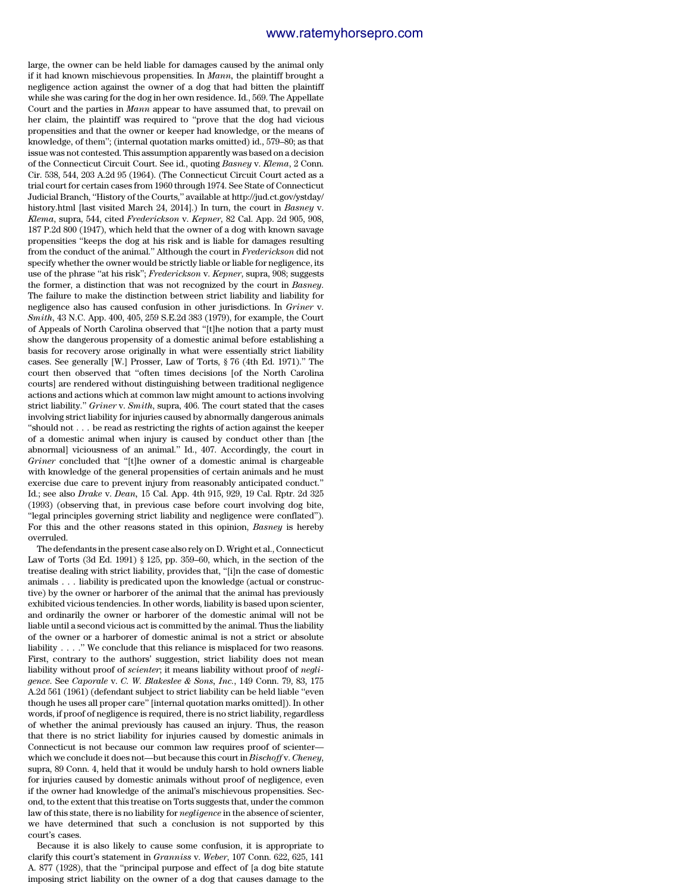large, the owner can be held liable for damages caused by the animal only if it had known mischievous propensities. In *Mann,* the plaintiff brought a negligence action against the owner of a dog that had bitten the plaintiff while she was caring for the dog in her own residence. Id., 569. The Appellate Court and the parties in *Mann* appear to have assumed that, to prevail on her claim, the plaintiff was required to ''prove that the dog had vicious propensities and that the owner or keeper had knowledge, or the means of knowledge, of them''; (internal quotation marks omitted) id., 579–80; as that issue was not contested. This assumption apparently was based on a decision of the Connecticut Circuit Court. See id., quoting *Basney* v. *Klema*, 2 Conn. Cir. 538, 544, 203 A.2d 95 (1964). (The Connecticut Circuit Court acted as a trial court for certain cases from 1960 through 1974. See State of Connecticut Judicial Branch, ''History of the Courts,'' available at http://jud.ct.gov/ystday/ history.html [last visited March 24, 2014].) In turn, the court in *Basney* v. *Klema*, supra, 544, cited *Frederickson* v. *Kepner*, 82 Cal. App. 2d 905, 908, 187 P.2d 800 (1947), which held that the owner of a dog with known savage propensities ''keeps the dog at his risk and is liable for damages resulting from the conduct of the animal.'' Although the court in *Frederickson* did not specify whether the owner would be strictly liable or liable for negligence, its use of the phrase ''at his risk''; *Frederickson* v. *Kepner*, supra, 908; suggests the former, a distinction that was not recognized by the court in *Basney*. The failure to make the distinction between strict liability and liability for negligence also has caused confusion in other jurisdictions. In *Griner* v. *Smith*, 43 N.C. App. 400, 405, 259 S.E.2d 383 (1979), for example, the Court of Appeals of North Carolina observed that ''[t]he notion that a party must show the dangerous propensity of a domestic animal before establishing a basis for recovery arose originally in what were essentially strict liability cases. See generally [W.] Prosser, Law of Torts, § 76 (4th Ed. 1971).'' The court then observed that ''often times decisions [of the North Carolina courts] are rendered without distinguishing between traditional negligence actions and actions which at common law might amount to actions involving strict liability.'' *Griner* v. *Smith*, supra, 406. The court stated that the cases involving strict liability for injuries caused by abnormally dangerous animals ''should not . . . be read as restricting the rights of action against the keeper of a domestic animal when injury is caused by conduct other than [the abnormal] viciousness of an animal.'' Id., 407. Accordingly, the court in *Griner* concluded that ''[t]he owner of a domestic animal is chargeable with knowledge of the general propensities of certain animals and he must exercise due care to prevent injury from reasonably anticipated conduct.'' Id.; see also *Drake* v. *Dean,* 15 Cal. App. 4th 915, 929, 19 Cal. Rptr. 2d 325 (1993) (observing that, in previous case before court involving dog bite, ''legal principles governing strict liability and negligence were conflated''). For this and the other reasons stated in this opinion, *Basney* is hereby overruled.

The defendants in the present case also rely on D. Wright et al., Connecticut Law of Torts (3d Ed. 1991) § 125, pp. 359–60, which, in the section of the treatise dealing with strict liability, provides that, ''[i]n the case of domestic animals . . . liability is predicated upon the knowledge (actual or constructive) by the owner or harborer of the animal that the animal has previously exhibited vicious tendencies. In other words, liability is based upon scienter, and ordinarily the owner or harborer of the domestic animal will not be liable until a second vicious act is committed by the animal. Thus the liability of the owner or a harborer of domestic animal is not a strict or absolute liability . . . .'' We conclude that this reliance is misplaced for two reasons. First, contrary to the authors' suggestion, strict liability does not mean liability without proof of *scienter*; it means liability without proof of *negligence*. See *Caporale* v. *C. W. Blakeslee & Sons, Inc.*, 149 Conn. 79, 83, 175 A.2d 561 (1961) (defendant subject to strict liability can be held liable ''even though he uses all proper care'' [internal quotation marks omitted]). In other words, if proof of negligence is required, there is no strict liability, regardless of whether the animal previously has caused an injury. Thus, the reason that there is no strict liability for injuries caused by domestic animals in Connecticut is not because our common law requires proof of scienter which we conclude it does not—but because this court in *Bischoff* v. *Cheney*, supra, 89 Conn. 4, held that it would be unduly harsh to hold owners liable for injuries caused by domestic animals without proof of negligence, even if the owner had knowledge of the animal's mischievous propensities. Second, to the extent that this treatise on Torts suggests that, under the common law of this state, there is no liability for *negligence* in the absence of scienter, we have determined that such a conclusion is not supported by this court's cases.

Because it is also likely to cause some confusion, it is appropriate to clarify this court's statement in *Granniss* v. *Weber*, 107 Conn. 622, 625, 141 A. 877 (1928), that the ''principal purpose and effect of [a dog bite statute imposing strict liability on the owner of a dog that causes damage to the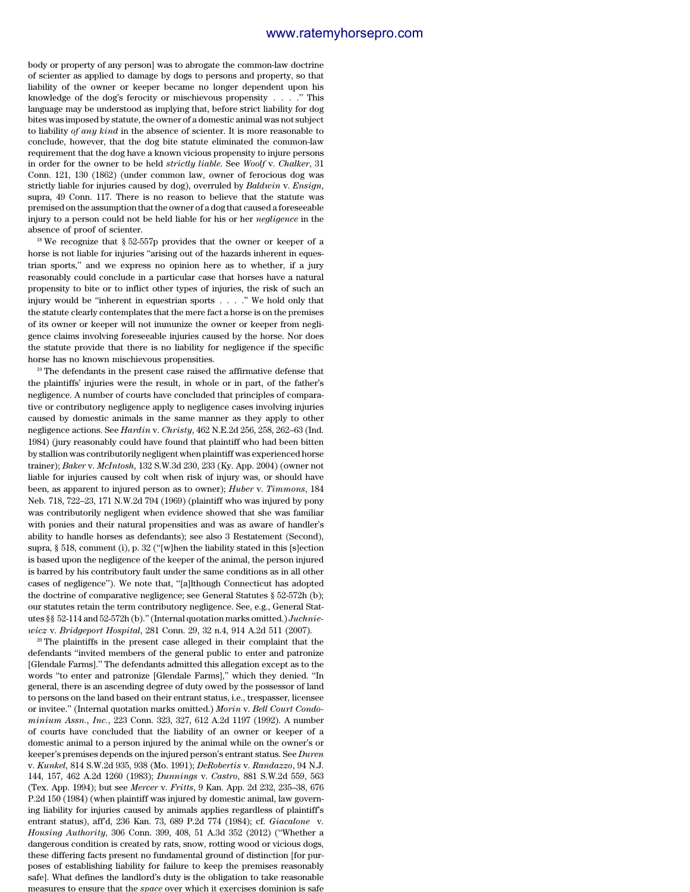body or property of any person] was to abrogate the common-law doctrine of scienter as applied to damage by dogs to persons and property, so that liability of the owner or keeper became no longer dependent upon his knowledge of the dog's ferocity or mischievous propensity . . . .'' This language may be understood as implying that, before strict liability for dog bites was imposed by statute, the owner of a domestic animal was not subject to liability *of any kind* in the absence of scienter. It is more reasonable to conclude, however, that the dog bite statute eliminated the common-law requirement that the dog have a known vicious propensity to injure persons in order for the owner to be held *strictly liable*. See *Woolf* v. *Chalker*, 31 Conn. 121, 130 (1862) (under common law, owner of ferocious dog was strictly liable for injuries caused by dog), overruled by *Baldwin* v. *Ensign*, supra, 49 Conn. 117. There is no reason to believe that the statute was premised on the assumption that the owner of a dog that caused a foreseeable injury to a person could not be held liable for his or her *negligence* in the absence of proof of scienter.

 $18$  We recognize that § 52-557p provides that the owner or keeper of a horse is not liable for injuries "arising out of the hazards inherent in equestrian sports,'' and we express no opinion here as to whether, if a jury reasonably could conclude in a particular case that horses have a natural propensity to bite or to inflict other types of injuries, the risk of such an injury would be ''inherent in equestrian sports . . . .'' We hold only that the statute clearly contemplates that the mere fact a horse is on the premises of its owner or keeper will not immunize the owner or keeper from negligence claims involving foreseeable injuries caused by the horse. Nor does the statute provide that there is no liability for negligence if the specific horse has no known mischievous propensities.

<sup>19</sup> The defendants in the present case raised the affirmative defense that the plaintiffs' injuries were the result, in whole or in part, of the father's negligence. A number of courts have concluded that principles of comparative or contributory negligence apply to negligence cases involving injuries caused by domestic animals in the same manner as they apply to other negligence actions. See *Hardin* v. *Christy*, 462 N.E.2d 256, 258, 262–63 (Ind. 1984) (jury reasonably could have found that plaintiff who had been bitten by stallion was contributorily negligent when plaintiff was experienced horse trainer); *Baker* v. *McIntosh*, 132 S.W.3d 230, 233 (Ky. App. 2004) (owner not liable for injuries caused by colt when risk of injury was, or should have been, as apparent to injured person as to owner); *Huber* v. *Timmons*, 184 Neb. 718, 722–23, 171 N.W.2d 794 (1969) (plaintiff who was injured by pony was contributorily negligent when evidence showed that she was familiar with ponies and their natural propensities and was as aware of handler's ability to handle horses as defendants); see also 3 Restatement (Second), supra, § 518, comment (i), p. 32 (''[w]hen the liability stated in this [s]ection is based upon the negligence of the keeper of the animal, the person injured is barred by his contributory fault under the same conditions as in all other cases of negligence''). We note that, ''[a]lthough Connecticut has adopted the doctrine of comparative negligence; see General Statutes § 52-572h (b); our statutes retain the term contributory negligence. See, e.g., General Statutes §§ 52-114 and 52-572h (b).'' (Internal quotation marks omitted.) *Juchniewicz* v. *Bridgeport Hospital*, 281 Conn. 29, 32 n.4, 914 A.2d 511 (2007).

 $20$  The plaintiffs in the present case alleged in their complaint that the defendants ''invited members of the general public to enter and patronize [Glendale Farms].'' The defendants admitted this allegation except as to the words ''to enter and patronize [Glendale Farms],'' which they denied. ''In general, there is an ascending degree of duty owed by the possessor of land to persons on the land based on their entrant status, i.e., trespasser, licensee or invitee.'' (Internal quotation marks omitted.) *Morin* v. *Bell Court Condominium Assn., Inc.*, 223 Conn. 323, 327, 612 A.2d 1197 (1992). A number of courts have concluded that the liability of an owner or keeper of a domestic animal to a person injured by the animal while on the owner's or keeper's premises depends on the injured person's entrant status. See *Duren* v. *Kunkel*, 814 S.W.2d 935, 938 (Mo. 1991); *DeRobertis* v. *Randazzo*, 94 N.J. 144, 157, 462 A.2d 1260 (1983); *Dunnings* v. *Castro*, 881 S.W.2d 559, 563 (Tex. App. 1994); but see *Mercer* v. *Fritts*, 9 Kan. App. 2d 232, 235–38, 676 P.2d 150 (1984) (when plaintiff was injured by domestic animal, law governing liability for injuries caused by animals applies regardless of plaintiff's entrant status), aff'd, 236 Kan. 73, 689 P.2d 774 (1984); cf. *Giacalone* v. *Housing Authority*, 306 Conn. 399, 408, 51 A.3d 352 (2012) (''Whether a dangerous condition is created by rats, snow, rotting wood or vicious dogs, these differing facts present no fundamental ground of distinction [for purposes of establishing liability for failure to keep the premises reasonably safe]. What defines the landlord's duty is the obligation to take reasonable measures to ensure that the *space* over which it exercises dominion is safe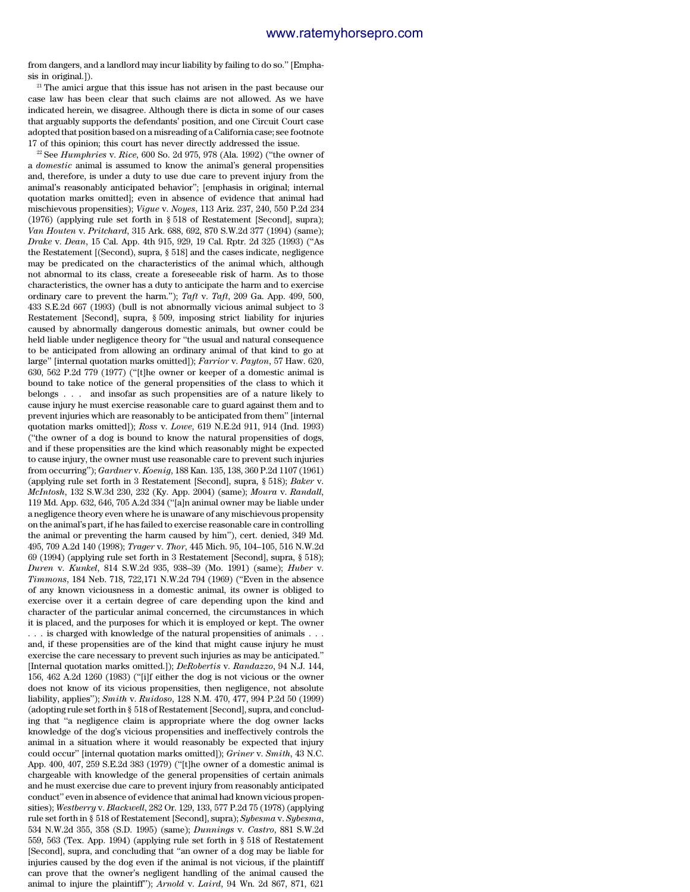from dangers, and a landlord may incur liability by failing to do so.'' [Emphasis in original.]).

<sup>21</sup> The amici argue that this issue has not arisen in the past because our case law has been clear that such claims are not allowed. As we have indicated herein, we disagree. Although there is dicta in some of our cases that arguably supports the defendants' position, and one Circuit Court case adopted that position based on a misreading of a California case; see footnote 17 of this opinion; this court has never directly addressed the issue.

<sup>22</sup> See *Humphries* v. *Rice*, 600 So. 2d 975, 978 (Ala. 1992) (''the owner of a *domestic* animal is assumed to know the animal's general propensities and, therefore, is under a duty to use due care to prevent injury from the animal's reasonably anticipated behavior''; [emphasis in original; internal quotation marks omitted]; even in absence of evidence that animal had mischievous propensities); *Vigue* v. *Noyes*, 113 Ariz. 237, 240, 550 P.2d 234 (1976) (applying rule set forth in § 518 of Restatement [Second], supra); *Van Houten* v. *Pritchard*, 315 Ark. 688, 692, 870 S.W.2d 377 (1994) (same); *Drake* v. *Dean*, 15 Cal. App. 4th 915, 929, 19 Cal. Rptr. 2d 325 (1993) (''As the Restatement [(Second), supra, § 518] and the cases indicate, negligence may be predicated on the characteristics of the animal which, although not abnormal to its class, create a foreseeable risk of harm. As to those characteristics, the owner has a duty to anticipate the harm and to exercise ordinary care to prevent the harm.''); *Taft* v. *Taft*, 209 Ga. App. 499, 500, 433 S.E.2d 667 (1993) (bull is not abnormally vicious animal subject to 3 Restatement [Second], supra, § 509, imposing strict liability for injuries caused by abnormally dangerous domestic animals, but owner could be held liable under negligence theory for ''the usual and natural consequence to be anticipated from allowing an ordinary animal of that kind to go at large'' [internal quotation marks omitted]); *Farrior* v. *Payton*, 57 Haw. 620, 630, 562 P.2d 779 (1977) (''[t]he owner or keeper of a domestic animal is bound to take notice of the general propensities of the class to which it belongs . . . and insofar as such propensities are of a nature likely to cause injury he must exercise reasonable care to guard against them and to prevent injuries which are reasonably to be anticipated from them'' [internal quotation marks omitted]); *Ross* v. *Lowe*, 619 N.E.2d 911, 914 (Ind. 1993) (''the owner of a dog is bound to know the natural propensities of dogs, and if these propensities are the kind which reasonably might be expected to cause injury, the owner must use reasonable care to prevent such injuries from occurring''); *Gardner* v. *Koenig*, 188 Kan. 135, 138, 360 P.2d 1107 (1961) (applying rule set forth in 3 Restatement [Second], supra, § 518); *Baker* v. *McIntosh*, 132 S.W.3d 230, 232 (Ky. App. 2004) (same); *Moura* v. *Randall*, 119 Md. App. 632, 646, 705 A.2d 334 (''[a]n animal owner may be liable under a negligence theory even where he is unaware of any mischievous propensity on the animal's part, if he has failed to exercise reasonable care in controlling the animal or preventing the harm caused by him''), cert. denied, 349 Md. 495, 709 A.2d 140 (1998); *Trager* v. *Thor*, 445 Mich. 95, 104–105, 516 N.W.2d 69 (1994) (applying rule set forth in 3 Restatement [Second], supra, § 518); *Duren* v. *Kunkel*, 814 S.W.2d 935, 938–39 (Mo. 1991) (same); *Huber* v. *Timmons*, 184 Neb. 718, 722,171 N.W.2d 794 (1969) (''Even in the absence of any known viciousness in a domestic animal, its owner is obliged to exercise over it a certain degree of care depending upon the kind and character of the particular animal concerned, the circumstances in which it is placed, and the purposes for which it is employed or kept. The owner . . . is charged with knowledge of the natural propensities of animals . . . and, if these propensities are of the kind that might cause injury he must exercise the care necessary to prevent such injuries as may be anticipated.'' [Internal quotation marks omitted.]); *DeRobertis* v. *Randazzo*, 94 N.J. 144, 156, 462 A.2d 1260 (1983) (''[i]f either the dog is not vicious or the owner does not know of its vicious propensities, then negligence, not absolute liability, applies''); *Smith* v. *Ruidoso*, 128 N.M. 470, 477, 994 P.2d 50 (1999) (adopting rule set forth in § 518 of Restatement [Second], supra, and concluding that ''a negligence claim is appropriate where the dog owner lacks knowledge of the dog's vicious propensities and ineffectively controls the animal in a situation where it would reasonably be expected that injury could occur'' [internal quotation marks omitted]); *Griner* v. *Smith*, 43 N.C. App. 400, 407, 259 S.E.2d 383 (1979) (''[t]he owner of a domestic animal is chargeable with knowledge of the general propensities of certain animals and he must exercise due care to prevent injury from reasonably anticipated conduct'' even in absence of evidence that animal had known vicious propensities); *Westberry* v. *Blackwell*, 282 Or. 129, 133, 577 P.2d 75 (1978) (applying rule set forth in § 518 of Restatement [Second], supra); *Sybesma* v. *Sybesma*, 534 N.W.2d 355, 358 (S.D. 1995) (same); *Dunnings* v. *Castro*, 881 S.W.2d 559, 563 (Tex. App. 1994) (applying rule set forth in § 518 of Restatement [Second], supra, and concluding that ''an owner of a dog may be liable for injuries caused by the dog even if the animal is not vicious, if the plaintiff can prove that the owner's negligent handling of the animal caused the animal to injure the plaintiff''); *Arnold* v. *Laird*, 94 Wn. 2d 867, 871, 621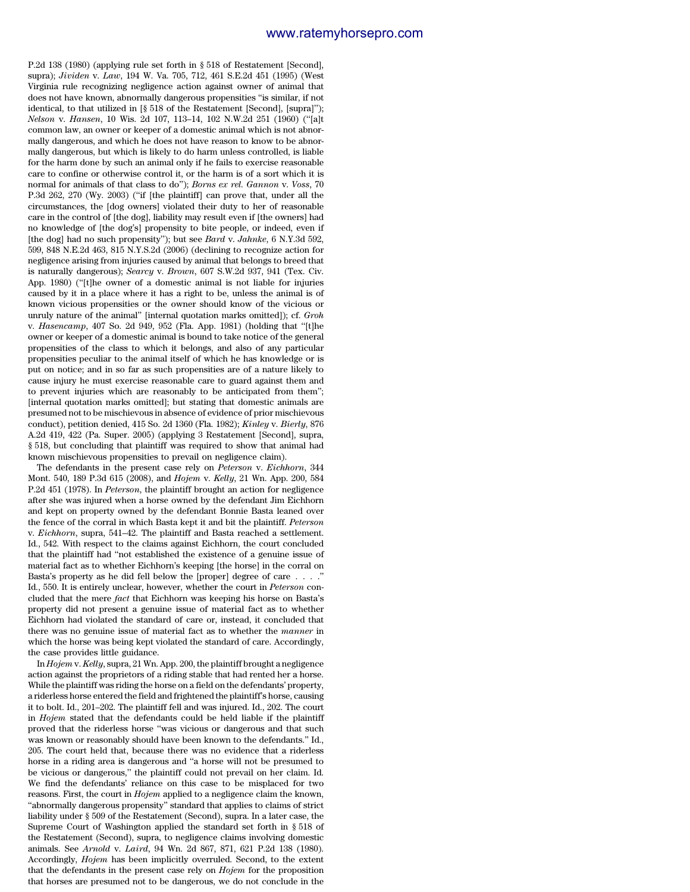P.2d 138 (1980) (applying rule set forth in § 518 of Restatement [Second], supra); *Jividen* v. *Law*, 194 W. Va. 705, 712, 461 S.E.2d 451 (1995) (West Virginia rule recognizing negligence action against owner of animal that does not have known, abnormally dangerous propensities ''is similar, if not identical, to that utilized in [§ 518 of the Restatement [Second], [supra]''); *Nelson* v. *Hansen*, 10 Wis. 2d 107, 113–14, 102 N.W.2d 251 (1960) (''[a]t common law, an owner or keeper of a domestic animal which is not abnormally dangerous, and which he does not have reason to know to be abnormally dangerous, but which is likely to do harm unless controlled, is liable for the harm done by such an animal only if he fails to exercise reasonable care to confine or otherwise control it, or the harm is of a sort which it is normal for animals of that class to do''); *Borns ex rel. Gannon* v. *Voss*, 70 P.3d 262, 270 (Wy. 2003) ("if [the plaintiff] can prove that, under all the circumstances, the [dog owners] violated their duty to her of reasonable care in the control of [the dog], liability may result even if [the owners] had no knowledge of [the dog's] propensity to bite people, or indeed, even if [the dog] had no such propensity''); but see *Bard* v. *Jahnke*, 6 N.Y.3d 592, 599, 848 N.E.2d 463, 815 N.Y.S.2d (2006) (declining to recognize action for negligence arising from injuries caused by animal that belongs to breed that is naturally dangerous); *Searcy* v. *Brown*, 607 S.W.2d 937, 941 (Tex. Civ. App. 1980) (''[t]he owner of a domestic animal is not liable for injuries caused by it in a place where it has a right to be, unless the animal is of known vicious propensities or the owner should know of the vicious or unruly nature of the animal'' [internal quotation marks omitted]); cf. *Groh* v. *Hasencamp*, 407 So. 2d 949, 952 (Fla. App. 1981) (holding that ''[t]he owner or keeper of a domestic animal is bound to take notice of the general propensities of the class to which it belongs, and also of any particular propensities peculiar to the animal itself of which he has knowledge or is put on notice; and in so far as such propensities are of a nature likely to cause injury he must exercise reasonable care to guard against them and to prevent injuries which are reasonably to be anticipated from them''; [internal quotation marks omitted]; but stating that domestic animals are presumed not to be mischievous in absence of evidence of prior mischievous conduct), petition denied, 415 So. 2d 1360 (Fla. 1982); *Kinley* v. *Bierly*, 876 A.2d 419, 422 (Pa. Super. 2005) (applying 3 Restatement [Second], supra, § 518, but concluding that plaintiff was required to show that animal had known mischievous propensities to prevail on negligence claim).

The defendants in the present case rely on *Peterson* v. *Eichhorn*, 344 Mont. 540, 189 P.3d 615 (2008), and *Hojem* v. *Kelly*, 21 Wn. App. 200, 584 P.2d 451 (1978). In *Peterson*, the plaintiff brought an action for negligence after she was injured when a horse owned by the defendant Jim Eichhorn and kept on property owned by the defendant Bonnie Basta leaned over the fence of the corral in which Basta kept it and bit the plaintiff. *Peterson* v. *Eichhorn*, supra, 541–42. The plaintiff and Basta reached a settlement. Id., 542. With respect to the claims against Eichhorn, the court concluded that the plaintiff had ''not established the existence of a genuine issue of material fact as to whether Eichhorn's keeping [the horse] in the corral on Basta's property as he did fell below the [proper] degree of care . . . . Id., 550. It is entirely unclear, however, whether the court in *Peterson* concluded that the mere *fact* that Eichhorn was keeping his horse on Basta's property did not present a genuine issue of material fact as to whether Eichhorn had violated the standard of care or, instead, it concluded that there was no genuine issue of material fact as to whether the *manner* in which the horse was being kept violated the standard of care. Accordingly, the case provides little guidance.

In *Hojem* v. *Kelly*, supra, 21 Wn. App. 200, the plaintiff brought a negligence action against the proprietors of a riding stable that had rented her a horse. While the plaintiff was riding the horse on a field on the defendants' property, a riderless horse entered the field and frightened the plaintiff's horse, causing it to bolt. Id., 201–202. The plaintiff fell and was injured. Id., 202. The court in *Hojem* stated that the defendants could be held liable if the plaintiff proved that the riderless horse ''was vicious or dangerous and that such was known or reasonably should have been known to the defendants.'' Id., 205. The court held that, because there was no evidence that a riderless horse in a riding area is dangerous and ''a horse will not be presumed to be vicious or dangerous,'' the plaintiff could not prevail on her claim. Id. We find the defendants' reliance on this case to be misplaced for two reasons. First, the court in *Hojem* applied to a negligence claim the known, ''abnormally dangerous propensity'' standard that applies to claims of strict liability under § 509 of the Restatement (Second), supra. In a later case, the Supreme Court of Washington applied the standard set forth in § 518 of the Restatement (Second), supra, to negligence claims involving domestic animals. See *Arnold* v. *Laird*, 94 Wn. 2d 867, 871, 621 P.2d 138 (1980). Accordingly, *Hojem* has been implicitly overruled. Second, to the extent that the defendants in the present case rely on *Hojem* for the proposition that horses are presumed not to be dangerous, we do not conclude in the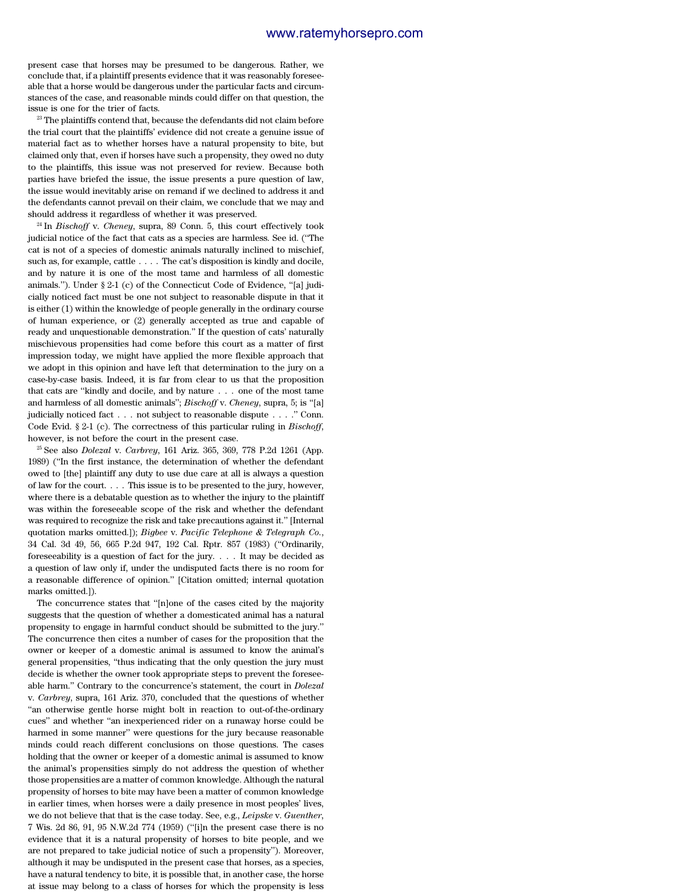present case that horses may be presumed to be dangerous. Rather, we conclude that, if a plaintiff presents evidence that it was reasonably foreseeable that a horse would be dangerous under the particular facts and circumstances of the case, and reasonable minds could differ on that question, the issue is one for the trier of facts.

<sup>23</sup> The plaintiffs contend that, because the defendants did not claim before the trial court that the plaintiffs' evidence did not create a genuine issue of material fact as to whether horses have a natural propensity to bite, but claimed only that, even if horses have such a propensity, they owed no duty to the plaintiffs, this issue was not preserved for review. Because both parties have briefed the issue, the issue presents a pure question of law, the issue would inevitably arise on remand if we declined to address it and the defendants cannot prevail on their claim, we conclude that we may and should address it regardless of whether it was preserved.

<sup>24</sup> In *Bischoff* v. *Cheney*, supra, 89 Conn. 5, this court effectively took judicial notice of the fact that cats as a species are harmless. See id. (''The cat is not of a species of domestic animals naturally inclined to mischief, such as, for example, cattle . . . . The cat's disposition is kindly and docile, and by nature it is one of the most tame and harmless of all domestic animals.''). Under § 2-1 (c) of the Connecticut Code of Evidence, ''[a] judicially noticed fact must be one not subject to reasonable dispute in that it is either (1) within the knowledge of people generally in the ordinary course of human experience, or (2) generally accepted as true and capable of ready and unquestionable demonstration.'' If the question of cats' naturally mischievous propensities had come before this court as a matter of first impression today, we might have applied the more flexible approach that we adopt in this opinion and have left that determination to the jury on a case-by-case basis. Indeed, it is far from clear to us that the proposition that cats are ''kindly and docile, and by nature . . . one of the most tame and harmless of all domestic animals''; *Bischoff* v. *Cheney*, supra, 5; is ''[a] judicially noticed fact . . . not subject to reasonable dispute . . . .'' Conn. Code Evid. § 2-1 (c). The correctness of this particular ruling in *Bischoff*, however, is not before the court in the present case.

<sup>25</sup> See also *Dolezal* v. *Carbrey*, 161 Ariz. 365, 369, 778 P.2d 1261 (App. 1989) (''In the first instance, the determination of whether the defendant owed to [the] plaintiff any duty to use due care at all is always a question of law for the court. . . . This issue is to be presented to the jury, however, where there is a debatable question as to whether the injury to the plaintiff was within the foreseeable scope of the risk and whether the defendant was required to recognize the risk and take precautions against it.'' [Internal quotation marks omitted.]); *Bigbee* v. *Pacific Telephone & Telegraph Co.*, 34 Cal. 3d 49, 56, 665 P.2d 947, 192 Cal. Rptr. 857 (1983) (''Ordinarily, foreseeability is a question of fact for the jury. . . . It may be decided as a question of law only if, under the undisputed facts there is no room for a reasonable difference of opinion.'' [Citation omitted; internal quotation marks omitted.]).

The concurrence states that ''[n]one of the cases cited by the majority suggests that the question of whether a domesticated animal has a natural propensity to engage in harmful conduct should be submitted to the jury.'' The concurrence then cites a number of cases for the proposition that the owner or keeper of a domestic animal is assumed to know the animal's general propensities, ''thus indicating that the only question the jury must decide is whether the owner took appropriate steps to prevent the foreseeable harm.'' Contrary to the concurrence's statement, the court in *Dolezal* v. *Carbrey*, supra, 161 Ariz. 370, concluded that the questions of whether ''an otherwise gentle horse might bolt in reaction to out-of-the-ordinary cues'' and whether ''an inexperienced rider on a runaway horse could be harmed in some manner'' were questions for the jury because reasonable minds could reach different conclusions on those questions. The cases holding that the owner or keeper of a domestic animal is assumed to know the animal's propensities simply do not address the question of whether those propensities are a matter of common knowledge. Although the natural propensity of horses to bite may have been a matter of common knowledge in earlier times, when horses were a daily presence in most peoples' lives, we do not believe that that is the case today. See, e.g., *Leipske* v. *Guenther*, 7 Wis. 2d 86, 91, 95 N.W.2d 774 (1959) (''[i]n the present case there is no evidence that it is a natural propensity of horses to bite people, and we are not prepared to take judicial notice of such a propensity''). Moreover, although it may be undisputed in the present case that horses, as a species, have a natural tendency to bite, it is possible that, in another case, the horse at issue may belong to a class of horses for which the propensity is less